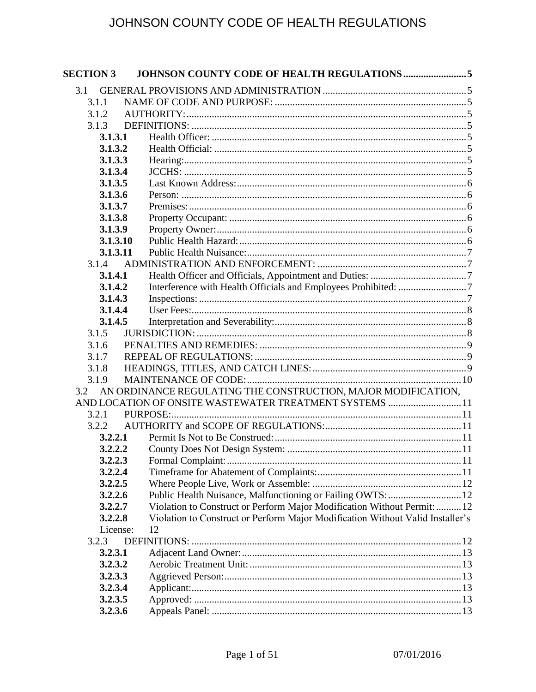| <b>SECTION 3</b> |                                                                                |  |
|------------------|--------------------------------------------------------------------------------|--|
| 3.1              |                                                                                |  |
| 3.1.1            |                                                                                |  |
| 3.1.2            |                                                                                |  |
| 3.1.3            |                                                                                |  |
| 3.1.3.1          |                                                                                |  |
| 3.1.3.2          |                                                                                |  |
| 3.1.3.3          |                                                                                |  |
| 3.1.3.4          |                                                                                |  |
| 3.1.3.5          |                                                                                |  |
| 3.1.3.6          |                                                                                |  |
| 3.1.3.7          |                                                                                |  |
| 3.1.3.8          |                                                                                |  |
| 3.1.3.9          |                                                                                |  |
| 3.1.3.10         |                                                                                |  |
| 3.1.3.11         |                                                                                |  |
| 3.1.4            |                                                                                |  |
| 3.1.4.1          |                                                                                |  |
| 3.1.4.2          |                                                                                |  |
| 3.1.4.3          |                                                                                |  |
| 3.1.4.4          |                                                                                |  |
| 3.1.4.5          |                                                                                |  |
| 3.1.5            |                                                                                |  |
| 3.1.6            |                                                                                |  |
| 3.1.7            |                                                                                |  |
| 3.1.8<br>3.1.9   |                                                                                |  |
| 3.2              | AN ORDINANCE REGULATING THE CONSTRUCTION, MAJOR MODIFICATION,                  |  |
|                  | AND LOCATION OF ONSITE WASTEWATER TREATMENT SYSTEMS 11                         |  |
| 3.2.1            |                                                                                |  |
| 3.2.2            |                                                                                |  |
| 3.2.2.1          |                                                                                |  |
| 3.2.2.2          |                                                                                |  |
| 3.2.2.3          |                                                                                |  |
| 3.2.2.4          |                                                                                |  |
| 3.2.2.5          |                                                                                |  |
| 3.2.2.6          | Public Health Nuisance, Malfunctioning or Failing OWTS:  12                    |  |
| 3.2.2.7          | Violation to Construct or Perform Major Modification Without Permit:  12       |  |
| 3.2.2.8          | Violation to Construct or Perform Major Modification Without Valid Installer's |  |
| License:         | 12                                                                             |  |
| 3.2.3            |                                                                                |  |
| 3.2.3.1          |                                                                                |  |
| 3.2.3.2          |                                                                                |  |
| 3.2.3.3          |                                                                                |  |
| 3.2.3.4          |                                                                                |  |
| 3.2.3.5          |                                                                                |  |
| 3.2.3.6          |                                                                                |  |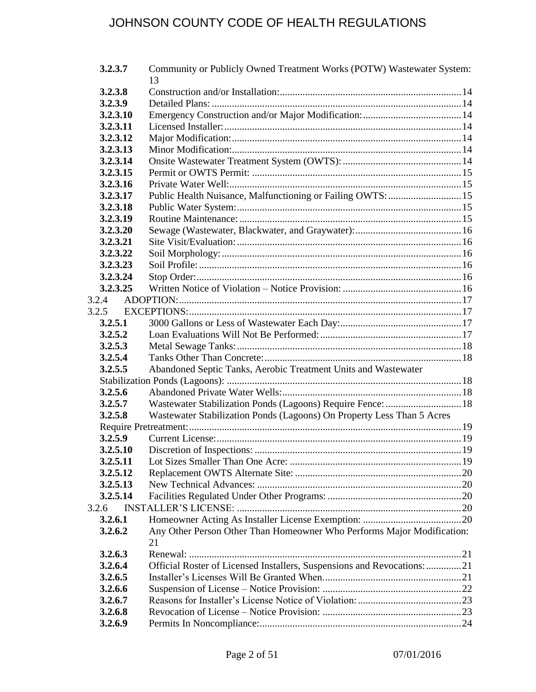| 3.2.3.7  | Community or Publicly Owned Treatment Works (POTW) Wastewater System:   |  |
|----------|-------------------------------------------------------------------------|--|
|          | 13                                                                      |  |
| 3.2.3.8  |                                                                         |  |
| 3.2.3.9  |                                                                         |  |
| 3.2.3.10 |                                                                         |  |
| 3.2.3.11 |                                                                         |  |
| 3.2.3.12 |                                                                         |  |
| 3.2.3.13 |                                                                         |  |
| 3.2.3.14 |                                                                         |  |
| 3.2.3.15 |                                                                         |  |
| 3.2.3.16 |                                                                         |  |
| 3.2.3.17 | Public Health Nuisance, Malfunctioning or Failing OWTS:  15             |  |
| 3.2.3.18 |                                                                         |  |
| 3.2.3.19 |                                                                         |  |
| 3.2.3.20 |                                                                         |  |
| 3.2.3.21 |                                                                         |  |
| 3.2.3.22 |                                                                         |  |
| 3.2.3.23 |                                                                         |  |
| 3.2.3.24 |                                                                         |  |
| 3.2.3.25 |                                                                         |  |
| 3.2.4    |                                                                         |  |
| 3.2.5    |                                                                         |  |
| 3.2.5.1  |                                                                         |  |
| 3.2.5.2  |                                                                         |  |
| 3.2.5.3  |                                                                         |  |
| 3.2.5.4  |                                                                         |  |
| 3.2.5.5  | Abandoned Septic Tanks, Aerobic Treatment Units and Wastewater          |  |
|          |                                                                         |  |
| 3.2.5.6  |                                                                         |  |
| 3.2.5.7  | Wastewater Stabilization Ponds (Lagoons) Require Fence:  18             |  |
| 3.2.5.8  | Wastewater Stabilization Ponds (Lagoons) On Property Less Than 5 Acres  |  |
|          |                                                                         |  |
| 3.2.5.9  |                                                                         |  |
| 3.2.5.10 |                                                                         |  |
| 3.2.5.11 |                                                                         |  |
| 3.2.5.12 |                                                                         |  |
| 3.2.5.13 |                                                                         |  |
| 3.2.5.14 |                                                                         |  |
| 3.2.6    |                                                                         |  |
| 3.2.6.1  |                                                                         |  |
| 3.2.6.2  | Any Other Person Other Than Homeowner Who Performs Major Modification:  |  |
|          | 21                                                                      |  |
| 3.2.6.3  |                                                                         |  |
| 3.2.6.4  | Official Roster of Licensed Installers, Suspensions and Revocations: 21 |  |
| 3.2.6.5  |                                                                         |  |
| 3.2.6.6  |                                                                         |  |
| 3.2.6.7  |                                                                         |  |
| 3.2.6.8  |                                                                         |  |
| 3.2.6.9  |                                                                         |  |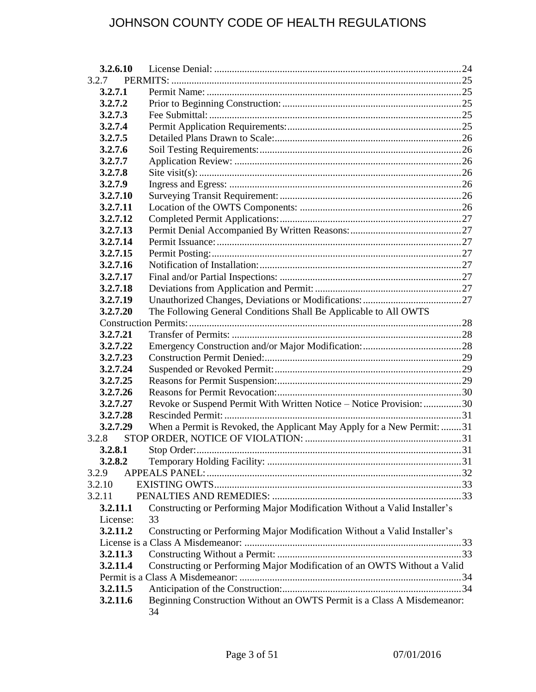| 3.2.6.10 |                                                                               |  |
|----------|-------------------------------------------------------------------------------|--|
| 3.2.7    |                                                                               |  |
| 3.2.7.1  |                                                                               |  |
| 3.2.7.2  |                                                                               |  |
| 3.2.7.3  |                                                                               |  |
| 3.2.7.4  |                                                                               |  |
| 3.2.7.5  |                                                                               |  |
| 3.2.7.6  |                                                                               |  |
| 3.2.7.7  |                                                                               |  |
| 3.2.7.8  |                                                                               |  |
| 3.2.7.9  |                                                                               |  |
| 3.2.7.10 |                                                                               |  |
| 3.2.7.11 |                                                                               |  |
| 3.2.7.12 |                                                                               |  |
| 3.2.7.13 |                                                                               |  |
| 3.2.7.14 |                                                                               |  |
| 3.2.7.15 |                                                                               |  |
| 3.2.7.16 |                                                                               |  |
| 3.2.7.17 |                                                                               |  |
| 3.2.7.18 |                                                                               |  |
| 3.2.7.19 |                                                                               |  |
| 3.2.7.20 | The Following General Conditions Shall Be Applicable to All OWTS              |  |
|          |                                                                               |  |
| 3.2.7.21 |                                                                               |  |
| 3.2.7.22 |                                                                               |  |
| 3.2.7.23 |                                                                               |  |
| 3.2.7.24 |                                                                               |  |
| 3.2.7.25 |                                                                               |  |
| 3.2.7.26 |                                                                               |  |
| 3.2.7.27 | Revoke or Suspend Permit With Written Notice - Notice Provision: 30           |  |
| 3.2.7.28 |                                                                               |  |
| 3.2.7.29 | When a Permit is Revoked, the Applicant May Apply for a New Permit: 31        |  |
| 3.2.8    |                                                                               |  |
| 3.2.8.1  |                                                                               |  |
| 3.2.8.2  |                                                                               |  |
| 3.2.9    |                                                                               |  |
| 3.2.10   |                                                                               |  |
| 3.2.11   |                                                                               |  |
| 3.2.11.1 | Constructing or Performing Major Modification Without a Valid Installer's     |  |
| License: | 33                                                                            |  |
| 3.2.11.2 | Constructing or Performing Major Modification Without a Valid Installer's     |  |
|          |                                                                               |  |
| 3.2.11.3 |                                                                               |  |
| 3.2.11.4 | Constructing or Performing Major Modification of an OWTS Without a Valid      |  |
|          |                                                                               |  |
| 3.2.11.5 |                                                                               |  |
| 3.2.11.6 | Beginning Construction Without an OWTS Permit is a Class A Misdemeanor:<br>34 |  |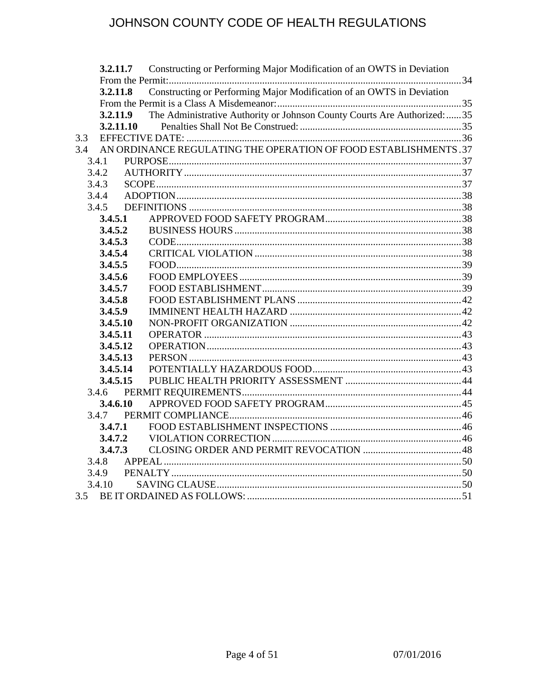| 3.2.11.7  | Constructing or Performing Major Modification of an OWTS in Deviation     |  |
|-----------|---------------------------------------------------------------------------|--|
| 3.2.11.8  | Constructing or Performing Major Modification of an OWTS in Deviation     |  |
|           |                                                                           |  |
| 3.2.11.9  | The Administrative Authority or Johnson County Courts Are Authorized:  35 |  |
| 3.2.11.10 |                                                                           |  |
| 3.3       |                                                                           |  |
| 3.4       | AN ORDINANCE REGULATING THE OPERATION OF FOOD ESTABLISHMENTS .37          |  |
| 3.4.1     |                                                                           |  |
| 3.4.2     |                                                                           |  |
| 3.4.3     |                                                                           |  |
| 3.4.4     |                                                                           |  |
| 3.4.5     |                                                                           |  |
| 3.4.5.1   |                                                                           |  |
| 3.4.5.2   |                                                                           |  |
| 3.4.5.3   |                                                                           |  |
| 3.4.5.4   |                                                                           |  |
| 3.4.5.5   |                                                                           |  |
| 3.4.5.6   |                                                                           |  |
| 3.4.5.7   |                                                                           |  |
| 3.4.5.8   |                                                                           |  |
| 3.4.5.9   |                                                                           |  |
| 3.4.5.10  |                                                                           |  |
| 3.4.5.11  |                                                                           |  |
| 3.4.5.12  |                                                                           |  |
| 3.4.5.13  |                                                                           |  |
| 3.4.5.14  |                                                                           |  |
| 3.4.5.15  |                                                                           |  |
| 3.4.6     |                                                                           |  |
| 3.4.6.10  |                                                                           |  |
|           |                                                                           |  |
| 3.4.7.1   |                                                                           |  |
| 3.4.7.2   |                                                                           |  |
| 3.4.7.3   |                                                                           |  |
| 3.4.8     |                                                                           |  |
| 3.4.9     |                                                                           |  |
| 3.4.10    |                                                                           |  |
| 3.5       |                                                                           |  |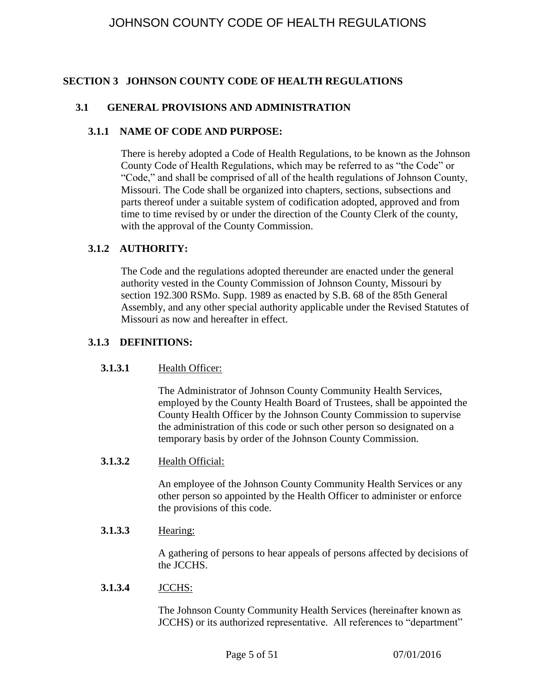## <span id="page-4-0"></span>**SECTION 3 JOHNSON COUNTY CODE OF HEALTH REGULATIONS**

### <span id="page-4-1"></span>**3.1 GENERAL PROVISIONS AND ADMINISTRATION**

#### <span id="page-4-2"></span>**3.1.1 NAME OF CODE AND PURPOSE:**

There is hereby adopted a Code of Health Regulations, to be known as the Johnson County Code of Health Regulations, which may be referred to as "the Code" or "Code," and shall be comprised of all of the health regulations of Johnson County, Missouri. The Code shall be organized into chapters, sections, subsections and parts thereof under a suitable system of codification adopted, approved and from time to time revised by or under the direction of the County Clerk of the county, with the approval of the County Commission.

#### <span id="page-4-3"></span>**3.1.2 AUTHORITY:**

The Code and the regulations adopted thereunder are enacted under the general authority vested in the County Commission of Johnson County, Missouri by section 192.300 RSMo. Supp. 1989 as enacted by S.B. 68 of the 85th General Assembly, and any other special authority applicable under the Revised Statutes of Missouri as now and hereafter in effect.

### <span id="page-4-5"></span><span id="page-4-4"></span>**3.1.3 DEFINITIONS:**

#### **3.1.3.1** Health Officer:

The Administrator of Johnson County Community Health Services, employed by the County Health Board of Trustees, shall be appointed the County Health Officer by the Johnson County Commission to supervise the administration of this code or such other person so designated on a temporary basis by order of the Johnson County Commission.

#### <span id="page-4-6"></span>**3.1.3.2** Health Official:

An employee of the Johnson County Community Health Services or any other person so appointed by the Health Officer to administer or enforce the provisions of this code.

### <span id="page-4-7"></span>**3.1.3.3** Hearing:

A gathering of persons to hear appeals of persons affected by decisions of the JCCHS.

#### <span id="page-4-8"></span>**3.1.3.4** JCCHS:

The Johnson County Community Health Services (hereinafter known as JCCHS) or its authorized representative. All references to "department"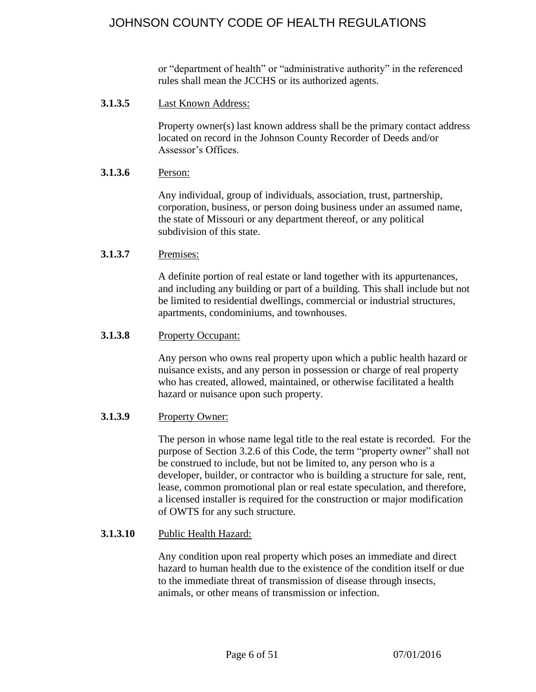or "department of health" or "administrative authority" in the referenced rules shall mean the JCCHS or its authorized agents.

<span id="page-5-0"></span>**3.1.3.5** Last Known Address:

Property owner(s) last known address shall be the primary contact address located on record in the Johnson County Recorder of Deeds and/or Assessor's Offices.

#### <span id="page-5-1"></span>**3.1.3.6** Person:

Any individual, group of individuals, association, trust, partnership, corporation, business, or person doing business under an assumed name, the state of Missouri or any department thereof, or any political subdivision of this state.

#### <span id="page-5-2"></span>**3.1.3.7** Premises:

A definite portion of real estate or land together with its appurtenances, and including any building or part of a building. This shall include but not be limited to residential dwellings, commercial or industrial structures, apartments, condominiums, and townhouses.

#### <span id="page-5-3"></span>**3.1.3.8** Property Occupant:

Any person who owns real property upon which a public health hazard or nuisance exists, and any person in possession or charge of real property who has created, allowed, maintained, or otherwise facilitated a health hazard or nuisance upon such property.

#### <span id="page-5-4"></span>**3.1.3.9** Property Owner:

The person in whose name legal title to the real estate is recorded. For the purpose of Section 3.2.6 of this Code, the term "property owner" shall not be construed to include, but not be limited to, any person who is a developer, builder, or contractor who is building a structure for sale, rent, lease, common promotional plan or real estate speculation, and therefore, a licensed installer is required for the construction or major modification of OWTS for any such structure.

#### <span id="page-5-5"></span>**3.1.3.10** Public Health Hazard:

Any condition upon real property which poses an immediate and direct hazard to human health due to the existence of the condition itself or due to the immediate threat of transmission of disease through insects, animals, or other means of transmission or infection.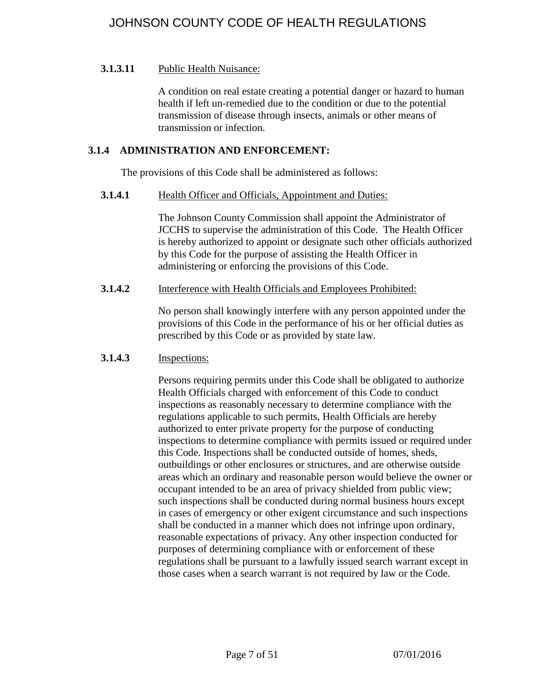## <span id="page-6-0"></span>**3.1.3.11** Public Health Nuisance:

A condition on real estate creating a potential danger or hazard to human health if left un-remedied due to the condition or due to the potential transmission of disease through insects, animals or other means of transmission or infection.

### <span id="page-6-1"></span>**3.1.4 ADMINISTRATION AND ENFORCEMENT:**

The provisions of this Code shall be administered as follows:

### <span id="page-6-2"></span>**3.1.4.1** Health Officer and Officials, Appointment and Duties:

The Johnson County Commission shall appoint the Administrator of JCCHS to supervise the administration of this Code. The Health Officer is hereby authorized to appoint or designate such other officials authorized by this Code for the purpose of assisting the Health Officer in administering or enforcing the provisions of this Code.

#### <span id="page-6-3"></span>**3.1.4.2** Interference with Health Officials and Employees Prohibited:

No person shall knowingly interfere with any person appointed under the provisions of this Code in the performance of his or her official duties as prescribed by this Code or as provided by state law.

## <span id="page-6-4"></span>**3.1.4.3** Inspections:

Persons requiring permits under this Code shall be obligated to authorize Health Officials charged with enforcement of this Code to conduct inspections as reasonably necessary to determine compliance with the regulations applicable to such permits, Health Officials are hereby authorized to enter private property for the purpose of conducting inspections to determine compliance with permits issued or required under this Code. Inspections shall be conducted outside of homes, sheds, outbuildings or other enclosures or structures, and are otherwise outside areas which an ordinary and reasonable person would believe the owner or occupant intended to be an area of privacy shielded from public view; such inspections shall be conducted during normal business hours except in cases of emergency or other exigent circumstance and such inspections shall be conducted in a manner which does not infringe upon ordinary, reasonable expectations of privacy. Any other inspection conducted for purposes of determining compliance with or enforcement of these regulations shall be pursuant to a lawfully issued search warrant except in those cases when a search warrant is not required by law or the Code.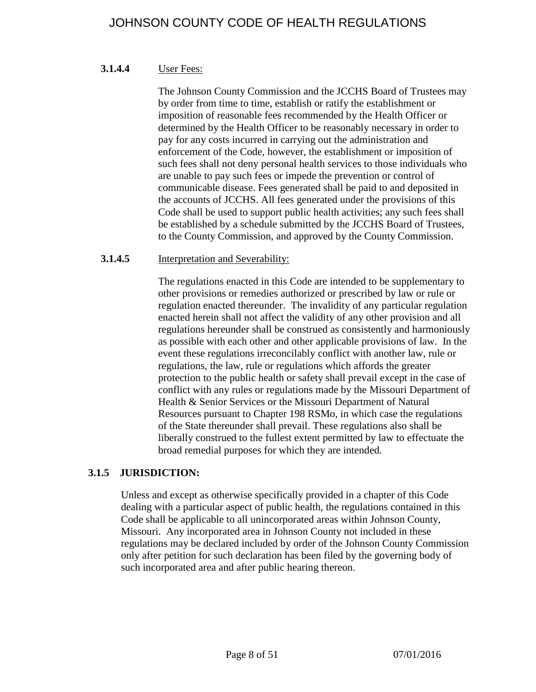### <span id="page-7-0"></span>**3.1.4.4** User Fees:

The Johnson County Commission and the JCCHS Board of Trustees may by order from time to time, establish or ratify the establishment or imposition of reasonable fees recommended by the Health Officer or determined by the Health Officer to be reasonably necessary in order to pay for any costs incurred in carrying out the administration and enforcement of the Code, however, the establishment or imposition of such fees shall not deny personal health services to those individuals who are unable to pay such fees or impede the prevention or control of communicable disease. Fees generated shall be paid to and deposited in the accounts of JCCHS. All fees generated under the provisions of this Code shall be used to support public health activities; any such fees shall be established by a schedule submitted by the JCCHS Board of Trustees, to the County Commission, and approved by the County Commission.

### <span id="page-7-1"></span>**3.1.4.5** Interpretation and Severability:

The regulations enacted in this Code are intended to be supplementary to other provisions or remedies authorized or prescribed by law or rule or regulation enacted thereunder. The invalidity of any particular regulation enacted herein shall not affect the validity of any other provision and all regulations hereunder shall be construed as consistently and harmoniously as possible with each other and other applicable provisions of law. In the event these regulations irreconcilably conflict with another law, rule or regulations, the law, rule or regulations which affords the greater protection to the public health or safety shall prevail except in the case of conflict with any rules or regulations made by the Missouri Department of Health & Senior Services or the Missouri Department of Natural Resources pursuant to Chapter 198 RSMo, in which case the regulations of the State thereunder shall prevail. These regulations also shall be liberally construed to the fullest extent permitted by law to effectuate the broad remedial purposes for which they are intended.

## <span id="page-7-2"></span>**3.1.5 JURISDICTION:**

Unless and except as otherwise specifically provided in a chapter of this Code dealing with a particular aspect of public health, the regulations contained in this Code shall be applicable to all unincorporated areas within Johnson County, Missouri. Any incorporated area in Johnson County not included in these regulations may be declared included by order of the Johnson County Commission only after petition for such declaration has been filed by the governing body of such incorporated area and after public hearing thereon.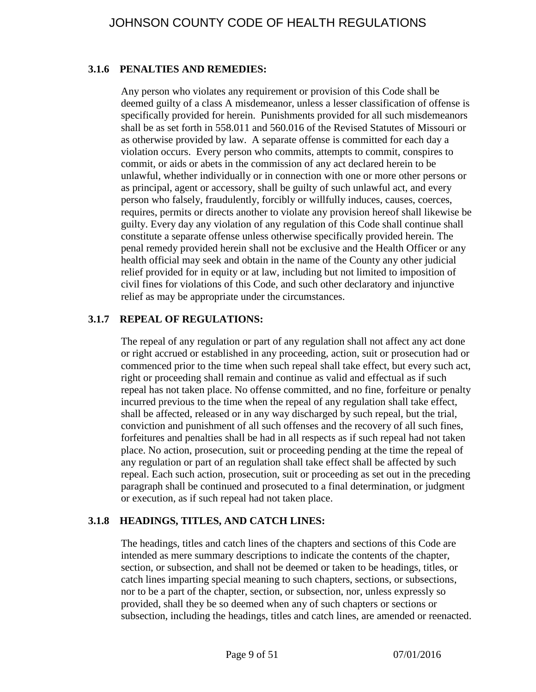## <span id="page-8-0"></span>**3.1.6 PENALTIES AND REMEDIES:**

Any person who violates any requirement or provision of this Code shall be deemed guilty of a class A misdemeanor, unless a lesser classification of offense is specifically provided for herein. Punishments provided for all such misdemeanors shall be as set forth in 558.011 and 560.016 of the Revised Statutes of Missouri or as otherwise provided by law. A separate offense is committed for each day a violation occurs. Every person who commits, attempts to commit, conspires to commit, or aids or abets in the commission of any act declared herein to be unlawful, whether individually or in connection with one or more other persons or as principal, agent or accessory, shall be guilty of such unlawful act, and every person who falsely, fraudulently, forcibly or willfully induces, causes, coerces, requires, permits or directs another to violate any provision hereof shall likewise be guilty. Every day any violation of any regulation of this Code shall continue shall constitute a separate offense unless otherwise specifically provided herein. The penal remedy provided herein shall not be exclusive and the Health Officer or any health official may seek and obtain in the name of the County any other judicial relief provided for in equity or at law, including but not limited to imposition of civil fines for violations of this Code, and such other declaratory and injunctive relief as may be appropriate under the circumstances.

## <span id="page-8-1"></span>**3.1.7 REPEAL OF REGULATIONS:**

The repeal of any regulation or part of any regulation shall not affect any act done or right accrued or established in any proceeding, action, suit or prosecution had or commenced prior to the time when such repeal shall take effect, but every such act, right or proceeding shall remain and continue as valid and effectual as if such repeal has not taken place. No offense committed, and no fine, forfeiture or penalty incurred previous to the time when the repeal of any regulation shall take effect, shall be affected, released or in any way discharged by such repeal, but the trial, conviction and punishment of all such offenses and the recovery of all such fines, forfeitures and penalties shall be had in all respects as if such repeal had not taken place. No action, prosecution, suit or proceeding pending at the time the repeal of any regulation or part of an regulation shall take effect shall be affected by such repeal. Each such action, prosecution, suit or proceeding as set out in the preceding paragraph shall be continued and prosecuted to a final determination, or judgment or execution, as if such repeal had not taken place.

## <span id="page-8-2"></span>**3.1.8 HEADINGS, TITLES, AND CATCH LINES:**

The headings, titles and catch lines of the chapters and sections of this Code are intended as mere summary descriptions to indicate the contents of the chapter, section, or subsection, and shall not be deemed or taken to be headings, titles, or catch lines imparting special meaning to such chapters, sections, or subsections, nor to be a part of the chapter, section, or subsection, nor, unless expressly so provided, shall they be so deemed when any of such chapters or sections or subsection, including the headings, titles and catch lines, are amended or reenacted.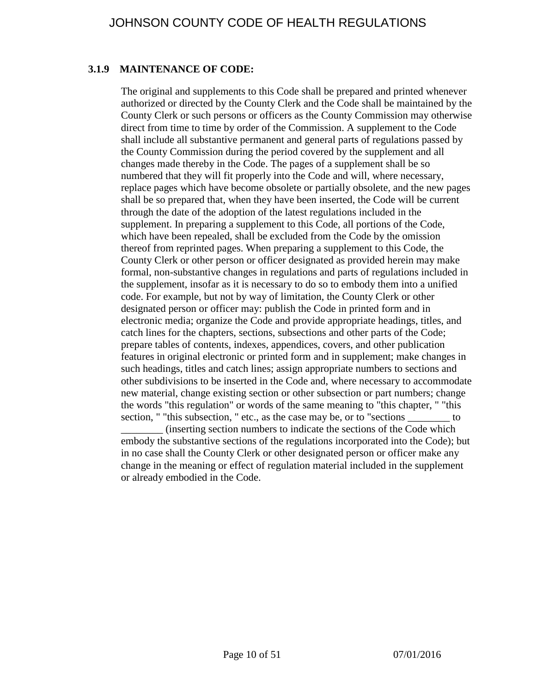## <span id="page-9-0"></span>**3.1.9 MAINTENANCE OF CODE:**

The original and supplements to this Code shall be prepared and printed whenever authorized or directed by the County Clerk and the Code shall be maintained by the County Clerk or such persons or officers as the County Commission may otherwise direct from time to time by order of the Commission. A supplement to the Code shall include all substantive permanent and general parts of regulations passed by the County Commission during the period covered by the supplement and all changes made thereby in the Code. The pages of a supplement shall be so numbered that they will fit properly into the Code and will, where necessary, replace pages which have become obsolete or partially obsolete, and the new pages shall be so prepared that, when they have been inserted, the Code will be current through the date of the adoption of the latest regulations included in the supplement. In preparing a supplement to this Code, all portions of the Code, which have been repealed, shall be excluded from the Code by the omission thereof from reprinted pages. When preparing a supplement to this Code, the County Clerk or other person or officer designated as provided herein may make formal, non-substantive changes in regulations and parts of regulations included in the supplement, insofar as it is necessary to do so to embody them into a unified code. For example, but not by way of limitation, the County Clerk or other designated person or officer may: publish the Code in printed form and in electronic media; organize the Code and provide appropriate headings, titles, and catch lines for the chapters, sections, subsections and other parts of the Code; prepare tables of contents, indexes, appendices, covers, and other publication features in original electronic or printed form and in supplement; make changes in such headings, titles and catch lines; assign appropriate numbers to sections and other subdivisions to be inserted in the Code and, where necessary to accommodate new material, change existing section or other subsection or part numbers; change the words "this regulation" or words of the same meaning to "this chapter, " "this section, " "this subsection, " etc., as the case may be, or to "sections <u>sections</u> to

\_\_\_\_\_\_\_\_ (inserting section numbers to indicate the sections of the Code which embody the substantive sections of the regulations incorporated into the Code); but in no case shall the County Clerk or other designated person or officer make any change in the meaning or effect of regulation material included in the supplement or already embodied in the Code.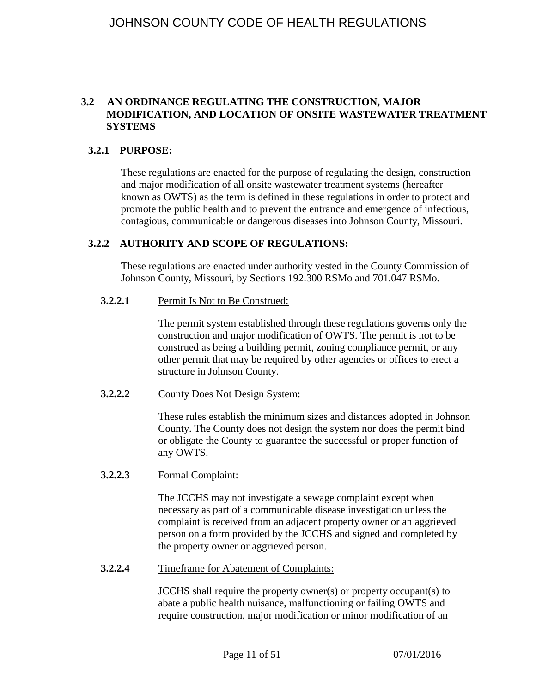### <span id="page-10-0"></span>**3.2 AN ORDINANCE REGULATING THE CONSTRUCTION, MAJOR MODIFICATION, AND LOCATION OF ONSITE WASTEWATER TREATMENT SYSTEMS**

#### <span id="page-10-1"></span>**3.2.1 PURPOSE:**

These regulations are enacted for the purpose of regulating the design, construction and major modification of all onsite wastewater treatment systems (hereafter known as OWTS) as the term is defined in these regulations in order to protect and promote the public health and to prevent the entrance and emergence of infectious, contagious, communicable or dangerous diseases into Johnson County, Missouri.

#### <span id="page-10-2"></span>**3.2.2 AUTHORITY AND SCOPE OF REGULATIONS:**

These regulations are enacted under authority vested in the County Commission of Johnson County, Missouri, by Sections 192.300 RSMo and 701.047 RSMo.

### <span id="page-10-3"></span>**3.2.2.1** Permit Is Not to Be Construed:

The permit system established through these regulations governs only the construction and major modification of OWTS. The permit is not to be construed as being a building permit, zoning compliance permit, or any other permit that may be required by other agencies or offices to erect a structure in Johnson County.

#### <span id="page-10-4"></span>**3.2.2.2** County Does Not Design System:

These rules establish the minimum sizes and distances adopted in Johnson County. The County does not design the system nor does the permit bind or obligate the County to guarantee the successful or proper function of any OWTS.

#### <span id="page-10-5"></span>**3.2.2.3** Formal Complaint:

The JCCHS may not investigate a sewage complaint except when necessary as part of a communicable disease investigation unless the complaint is received from an adjacent property owner or an aggrieved person on a form provided by the JCCHS and signed and completed by the property owner or aggrieved person.

#### <span id="page-10-6"></span>**3.2.2.4** Timeframe for Abatement of Complaints:

JCCHS shall require the property owner(s) or property occupant(s) to abate a public health nuisance, malfunctioning or failing OWTS and require construction, major modification or minor modification of an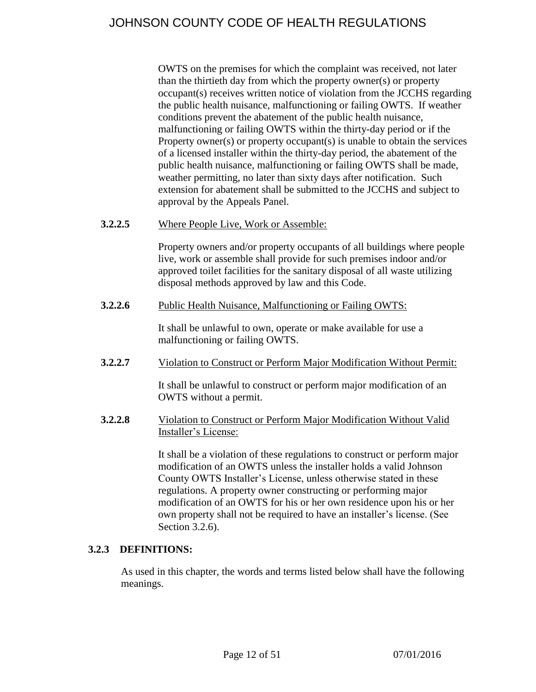OWTS on the premises for which the complaint was received, not later than the thirtieth day from which the property owner(s) or property occupant(s) receives written notice of violation from the JCCHS regarding the public health nuisance, malfunctioning or failing OWTS. If weather conditions prevent the abatement of the public health nuisance, malfunctioning or failing OWTS within the thirty-day period or if the Property owner(s) or property occupant(s) is unable to obtain the services of a licensed installer within the thirty-day period, the abatement of the public health nuisance, malfunctioning or failing OWTS shall be made, weather permitting, no later than sixty days after notification. Such extension for abatement shall be submitted to the JCCHS and subject to approval by the Appeals Panel.

<span id="page-11-0"></span>**3.2.2.5** Where People Live, Work or Assemble:

Property owners and/or property occupants of all buildings where people live, work or assemble shall provide for such premises indoor and/or approved toilet facilities for the sanitary disposal of all waste utilizing disposal methods approved by law and this Code.

<span id="page-11-1"></span>**3.2.2.6** Public Health Nuisance, Malfunctioning or Failing OWTS:

It shall be unlawful to own, operate or make available for use a malfunctioning or failing OWTS.

<span id="page-11-2"></span>**3.2.2.7** Violation to Construct or Perform Major Modification Without Permit:

It shall be unlawful to construct or perform major modification of an OWTS without a permit.

<span id="page-11-3"></span>**3.2.2.8** Violation to Construct or Perform Major Modification Without Valid Installer's License:

> It shall be a violation of these regulations to construct or perform major modification of an OWTS unless the installer holds a valid Johnson County OWTS Installer's License, unless otherwise stated in these regulations. A property owner constructing or performing major modification of an OWTS for his or her own residence upon his or her own property shall not be required to have an installer's license. (See Section 3.2.6).

## <span id="page-11-4"></span>**3.2.3 DEFINITIONS:**

As used in this chapter, the words and terms listed below shall have the following meanings.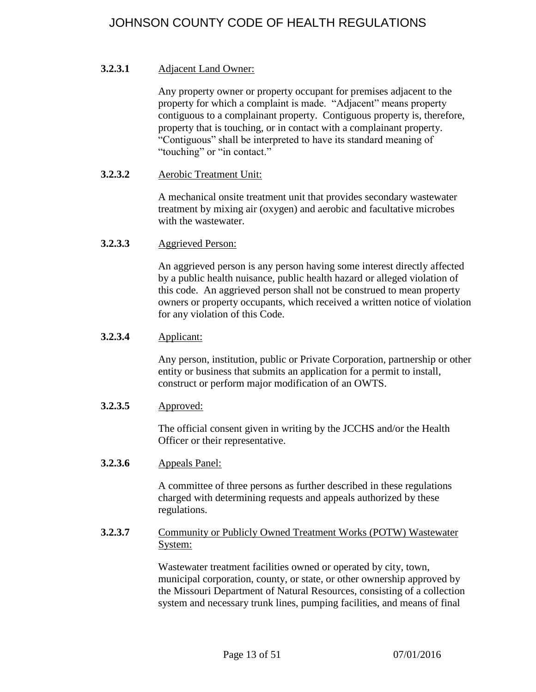### <span id="page-12-0"></span>**3.2.3.1** Adjacent Land Owner:

Any property owner or property occupant for premises adjacent to the property for which a complaint is made. "Adjacent" means property contiguous to a complainant property. Contiguous property is, therefore, property that is touching, or in contact with a complainant property. "Contiguous" shall be interpreted to have its standard meaning of "touching" or "in contact."

#### <span id="page-12-1"></span>**3.2.3.2** Aerobic Treatment Unit:

A mechanical onsite treatment unit that provides secondary wastewater treatment by mixing air (oxygen) and aerobic and facultative microbes with the wastewater.

<span id="page-12-2"></span>**3.2.3.3** Aggrieved Person:

An aggrieved person is any person having some interest directly affected by a public health nuisance, public health hazard or alleged violation of this code. An aggrieved person shall not be construed to mean property owners or property occupants, which received a written notice of violation for any violation of this Code.

## <span id="page-12-3"></span>**3.2.3.4** Applicant:

Any person, institution, public or Private Corporation, partnership or other entity or business that submits an application for a permit to install, construct or perform major modification of an OWTS.

#### <span id="page-12-4"></span>**3.2.3.5** Approved:

The official consent given in writing by the JCCHS and/or the Health Officer or their representative.

<span id="page-12-5"></span>**3.2.3.6** Appeals Panel:

A committee of three persons as further described in these regulations charged with determining requests and appeals authorized by these regulations.

#### <span id="page-12-6"></span>**3.2.3.7** Community or Publicly Owned Treatment Works (POTW) Wastewater System:

Wastewater treatment facilities owned or operated by city, town, municipal corporation, county, or state, or other ownership approved by the Missouri Department of Natural Resources, consisting of a collection system and necessary trunk lines, pumping facilities, and means of final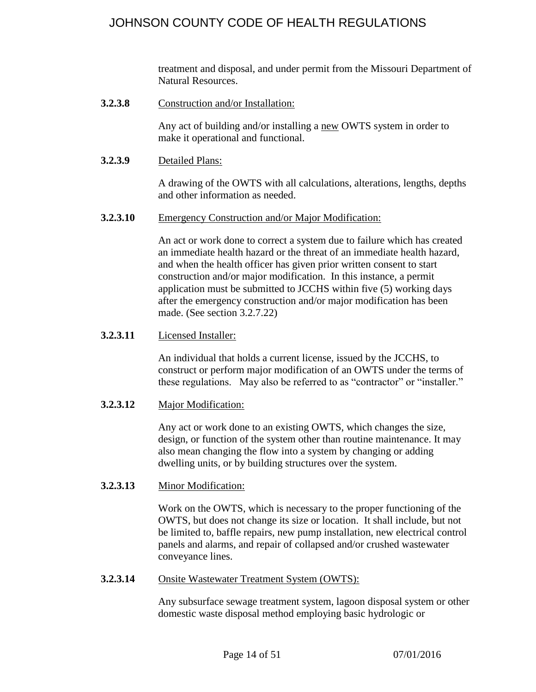treatment and disposal, and under permit from the Missouri Department of Natural Resources.

<span id="page-13-0"></span>**3.2.3.8** Construction and/or Installation:

Any act of building and/or installing a new OWTS system in order to make it operational and functional.

<span id="page-13-1"></span>**3.2.3.9** Detailed Plans:

A drawing of the OWTS with all calculations, alterations, lengths, depths and other information as needed.

<span id="page-13-2"></span>**3.2.3.10** Emergency Construction and/or Major Modification:

An act or work done to correct a system due to failure which has created an immediate health hazard or the threat of an immediate health hazard, and when the health officer has given prior written consent to start construction and/or major modification. In this instance, a permit application must be submitted to JCCHS within five (5) working days after the emergency construction and/or major modification has been made. (See section 3.2.7.22)

<span id="page-13-3"></span>**3.2.3.11** Licensed Installer:

An individual that holds a current license, issued by the JCCHS, to construct or perform major modification of an OWTS under the terms of these regulations. May also be referred to as "contractor" or "installer."

<span id="page-13-4"></span>**3.2.3.12** Major Modification:

Any act or work done to an existing OWTS, which changes the size, design, or function of the system other than routine maintenance. It may also mean changing the flow into a system by changing or adding dwelling units, or by building structures over the system.

<span id="page-13-5"></span>**3.2.3.13** Minor Modification:

Work on the OWTS, which is necessary to the proper functioning of the OWTS, but does not change its size or location. It shall include, but not be limited to, baffle repairs, new pump installation, new electrical control panels and alarms, and repair of collapsed and/or crushed wastewater conveyance lines.

<span id="page-13-6"></span>**3.2.3.14** Onsite Wastewater Treatment System (OWTS):

Any subsurface sewage treatment system, lagoon disposal system or other domestic waste disposal method employing basic hydrologic or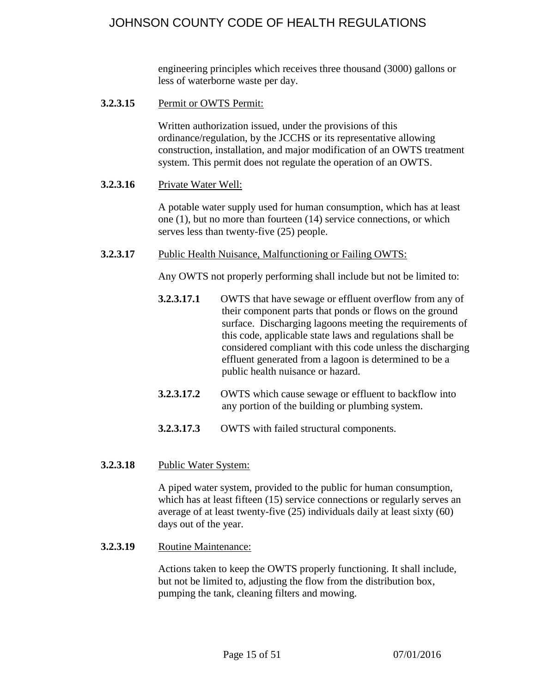engineering principles which receives three thousand (3000) gallons or less of waterborne waste per day.

<span id="page-14-0"></span>**3.2.3.15** Permit or OWTS Permit:

Written authorization issued, under the provisions of this ordinance/regulation, by the JCCHS or its representative allowing construction, installation, and major modification of an OWTS treatment system. This permit does not regulate the operation of an OWTS.

<span id="page-14-1"></span>**3.2.3.16** Private Water Well:

A potable water supply used for human consumption, which has at least one (1), but no more than fourteen (14) service connections, or which serves less than twenty-five (25) people.

<span id="page-14-2"></span>**3.2.3.17** Public Health Nuisance, Malfunctioning or Failing OWTS:

Any OWTS not properly performing shall include but not be limited to:

- **3.2.3.17.1** OWTS that have sewage or effluent overflow from any of their component parts that ponds or flows on the ground surface. Discharging lagoons meeting the requirements of this code, applicable state laws and regulations shall be considered compliant with this code unless the discharging effluent generated from a lagoon is determined to be a public health nuisance or hazard.
- **3.2.3.17.2** OWTS which cause sewage or effluent to backflow into any portion of the building or plumbing system.
- **3.2.3.17.3** OWTS with failed structural components.
- <span id="page-14-3"></span>**3.2.3.18** Public Water System:

A piped water system, provided to the public for human consumption, which has at least fifteen (15) service connections or regularly serves an average of at least twenty-five (25) individuals daily at least sixty (60) days out of the year.

<span id="page-14-4"></span>**3.2.3.19** Routine Maintenance:

Actions taken to keep the OWTS properly functioning. It shall include, but not be limited to, adjusting the flow from the distribution box, pumping the tank, cleaning filters and mowing.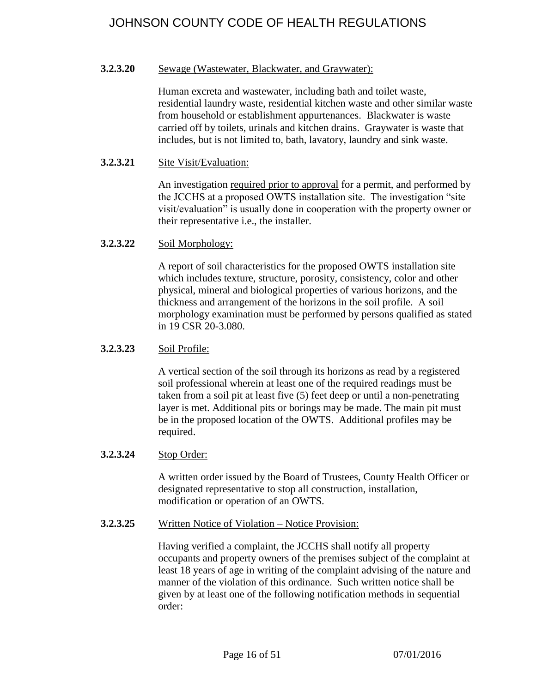#### <span id="page-15-0"></span>**3.2.3.20** Sewage (Wastewater, Blackwater, and Graywater):

Human excreta and wastewater, including bath and toilet waste, residential laundry waste, residential kitchen waste and other similar waste from household or establishment appurtenances. Blackwater is waste carried off by toilets, urinals and kitchen drains. Graywater is waste that includes, but is not limited to, bath, lavatory, laundry and sink waste.

#### <span id="page-15-1"></span>**3.2.3.21** Site Visit/Evaluation:

An investigation required prior to approval for a permit, and performed by the JCCHS at a proposed OWTS installation site. The investigation "site visit/evaluation" is usually done in cooperation with the property owner or their representative i.e., the installer.

<span id="page-15-2"></span>**3.2.3.22** Soil Morphology:

A report of soil characteristics for the proposed OWTS installation site which includes texture, structure, porosity, consistency, color and other physical, mineral and biological properties of various horizons, and the thickness and arrangement of the horizons in the soil profile. A soil morphology examination must be performed by persons qualified as stated in 19 CSR 20-3.080.

### <span id="page-15-3"></span>**3.2.3.23** Soil Profile:

A vertical section of the soil through its horizons as read by a registered soil professional wherein at least one of the required readings must be taken from a soil pit at least five (5) feet deep or until a non-penetrating layer is met. Additional pits or borings may be made. The main pit must be in the proposed location of the OWTS. Additional profiles may be required.

## <span id="page-15-4"></span>**3.2.3.24** Stop Order:

A written order issued by the Board of Trustees, County Health Officer or designated representative to stop all construction, installation, modification or operation of an OWTS.

#### <span id="page-15-5"></span>**3.2.3.25** Written Notice of Violation – Notice Provision:

Having verified a complaint, the JCCHS shall notify all property occupants and property owners of the premises subject of the complaint at least 18 years of age in writing of the complaint advising of the nature and manner of the violation of this ordinance. Such written notice shall be given by at least one of the following notification methods in sequential order: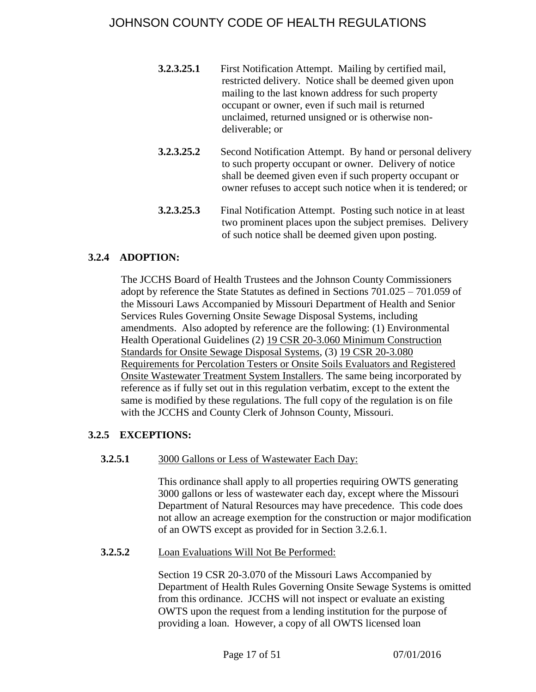- **3.2.3.25.1** First Notification Attempt. Mailing by certified mail, restricted delivery. Notice shall be deemed given upon mailing to the last known address for such property occupant or owner, even if such mail is returned unclaimed, returned unsigned or is otherwise nondeliverable; or
- **3.2.3.25.2** Second Notification Attempt. By hand or personal delivery to such property occupant or owner. Delivery of notice shall be deemed given even if such property occupant or owner refuses to accept such notice when it is tendered; or
- **3.2.3.25.3** Final Notification Attempt. Posting such notice in at least two prominent places upon the subject premises. Delivery of such notice shall be deemed given upon posting.

## <span id="page-16-0"></span>**3.2.4 ADOPTION:**

The JCCHS Board of Health Trustees and the Johnson County Commissioners adopt by reference the State Statutes as defined in Sections 701.025 – 701.059 of the Missouri Laws Accompanied by Missouri Department of Health and Senior Services Rules Governing Onsite Sewage Disposal Systems, including amendments. Also adopted by reference are the following: (1) Environmental Health Operational Guidelines (2) 19 CSR 20-3.060 Minimum Construction Standards for Onsite Sewage Disposal Systems, (3) 19 CSR 20-3.080 Requirements for Percolation Testers or Onsite Soils Evaluators and Registered Onsite Wastewater Treatment System Installers. The same being incorporated by reference as if fully set out in this regulation verbatim, except to the extent the same is modified by these regulations. The full copy of the regulation is on file with the JCCHS and County Clerk of Johnson County, Missouri.

## <span id="page-16-2"></span><span id="page-16-1"></span>**3.2.5 EXCEPTIONS:**

## **3.2.5.1** 3000 Gallons or Less of Wastewater Each Day:

This ordinance shall apply to all properties requiring OWTS generating 3000 gallons or less of wastewater each day, except where the Missouri Department of Natural Resources may have precedence. This code does not allow an acreage exemption for the construction or major modification of an OWTS except as provided for in Section 3.2.6.1.

#### <span id="page-16-3"></span>**3.2.5.2** Loan Evaluations Will Not Be Performed:

Section 19 CSR 20-3.070 of the Missouri Laws Accompanied by Department of Health Rules Governing Onsite Sewage Systems is omitted from this ordinance. JCCHS will not inspect or evaluate an existing OWTS upon the request from a lending institution for the purpose of providing a loan. However, a copy of all OWTS licensed loan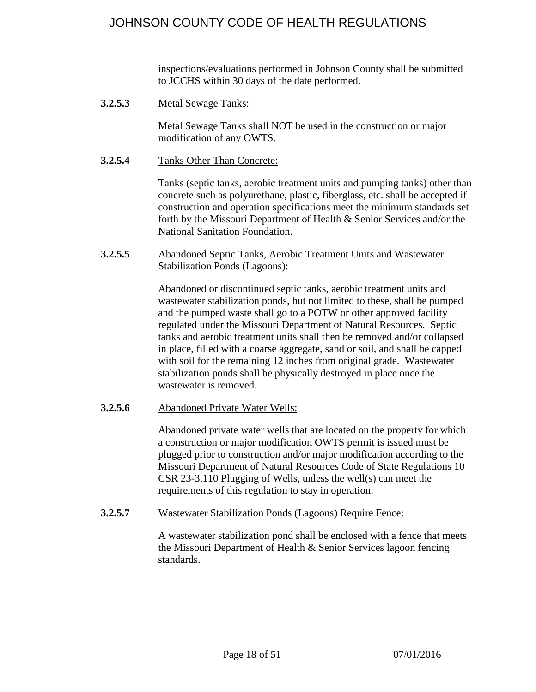inspections/evaluations performed in Johnson County shall be submitted to JCCHS within 30 days of the date performed.

<span id="page-17-0"></span>**3.2.5.3** Metal Sewage Tanks:

Metal Sewage Tanks shall NOT be used in the construction or major modification of any OWTS.

<span id="page-17-1"></span>**3.2.5.4** Tanks Other Than Concrete:

Tanks (septic tanks, aerobic treatment units and pumping tanks) other than concrete such as polyurethane, plastic, fiberglass, etc. shall be accepted if construction and operation specifications meet the minimum standards set forth by the Missouri Department of Health & Senior Services and/or the National Sanitation Foundation.

<span id="page-17-2"></span>**3.2.5.5** Abandoned Septic Tanks, Aerobic Treatment Units and Wastewater Stabilization Ponds (Lagoons):

> Abandoned or discontinued septic tanks, aerobic treatment units and wastewater stabilization ponds, but not limited to these, shall be pumped and the pumped waste shall go to a POTW or other approved facility regulated under the Missouri Department of Natural Resources. Septic tanks and aerobic treatment units shall then be removed and/or collapsed in place, filled with a coarse aggregate, sand or soil, and shall be capped with soil for the remaining 12 inches from original grade. Wastewater stabilization ponds shall be physically destroyed in place once the wastewater is removed.

## <span id="page-17-3"></span>**3.2.5.6** Abandoned Private Water Wells:

Abandoned private water wells that are located on the property for which a construction or major modification OWTS permit is issued must be plugged prior to construction and/or major modification according to the Missouri Department of Natural Resources Code of State Regulations 10 CSR 23-3.110 Plugging of Wells, unless the well(s) can meet the requirements of this regulation to stay in operation.

<span id="page-17-4"></span>**3.2.5.7** Wastewater Stabilization Ponds (Lagoons) Require Fence:

A wastewater stabilization pond shall be enclosed with a fence that meets the Missouri Department of Health & Senior Services lagoon fencing standards.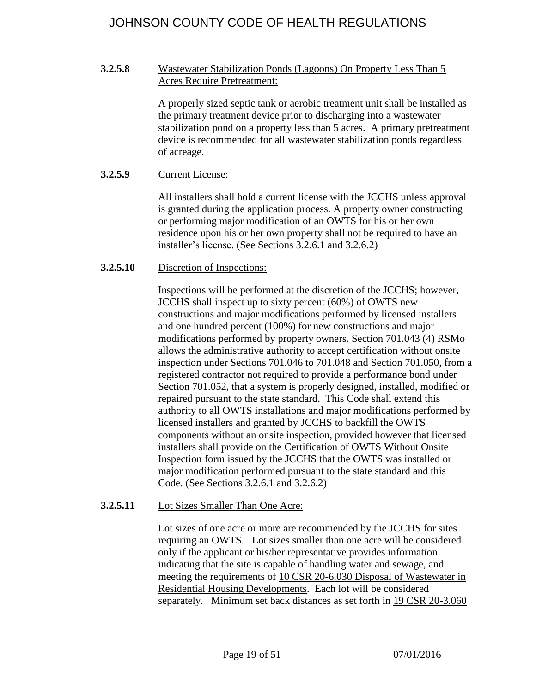## <span id="page-18-0"></span>**3.2.5.8** Wastewater Stabilization Ponds (Lagoons) On Property Less Than 5 Acres Require Pretreatment:

A properly sized septic tank or aerobic treatment unit shall be installed as the primary treatment device prior to discharging into a wastewater stabilization pond on a property less than 5 acres. A primary pretreatment device is recommended for all wastewater stabilization ponds regardless of acreage.

### <span id="page-18-1"></span>**3.2.5.9** Current License:

All installers shall hold a current license with the JCCHS unless approval is granted during the application process. A property owner constructing or performing major modification of an OWTS for his or her own residence upon his or her own property shall not be required to have an installer's license. (See Sections 3.2.6.1 and 3.2.6.2)

## <span id="page-18-2"></span>**3.2.5.10** Discretion of Inspections:

Inspections will be performed at the discretion of the JCCHS; however, JCCHS shall inspect up to sixty percent (60%) of OWTS new constructions and major modifications performed by licensed installers and one hundred percent (100%) for new constructions and major modifications performed by property owners. Section 701.043 (4) RSMo allows the administrative authority to accept certification without onsite inspection under Sections 701.046 to 701.048 and Section 701.050, from a registered contractor not required to provide a performance bond under Section 701.052, that a system is properly designed, installed, modified or repaired pursuant to the state standard. This Code shall extend this authority to all OWTS installations and major modifications performed by licensed installers and granted by JCCHS to backfill the OWTS components without an onsite inspection, provided however that licensed installers shall provide on the Certification of OWTS Without Onsite Inspection form issued by the JCCHS that the OWTS was installed or major modification performed pursuant to the state standard and this Code. (See Sections 3.2.6.1 and 3.2.6.2)

#### <span id="page-18-3"></span>**3.2.5.11** Lot Sizes Smaller Than One Acre:

Lot sizes of one acre or more are recommended by the JCCHS for sites requiring an OWTS. Lot sizes smaller than one acre will be considered only if the applicant or his/her representative provides information indicating that the site is capable of handling water and sewage, and meeting the requirements of 10 CSR 20-6.030 Disposal of Wastewater in Residential Housing Developments. Each lot will be considered separately. Minimum set back distances as set forth in 19 CSR 20-3.060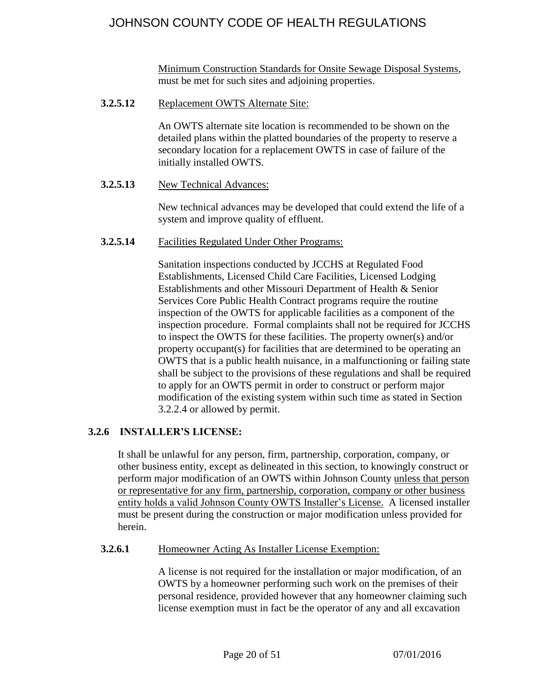Minimum Construction Standards for Onsite Sewage Disposal Systems, must be met for such sites and adjoining properties.

<span id="page-19-0"></span>**3.2.5.12** Replacement OWTS Alternate Site:

An OWTS alternate site location is recommended to be shown on the detailed plans within the platted boundaries of the property to reserve a secondary location for a replacement OWTS in case of failure of the initially installed OWTS.

<span id="page-19-1"></span>**3.2.5.13** New Technical Advances:

New technical advances may be developed that could extend the life of a system and improve quality of effluent.

<span id="page-19-2"></span>**3.2.5.14** Facilities Regulated Under Other Programs:

Sanitation inspections conducted by JCCHS at Regulated Food Establishments, Licensed Child Care Facilities, Licensed Lodging Establishments and other Missouri Department of Health & Senior Services Core Public Health Contract programs require the routine inspection of the OWTS for applicable facilities as a component of the inspection procedure. Formal complaints shall not be required for JCCHS to inspect the OWTS for these facilities. The property owner(s) and/or property occupant(s) for facilities that are determined to be operating an OWTS that is a public health nuisance, in a malfunctioning or failing state shall be subject to the provisions of these regulations and shall be required to apply for an OWTS permit in order to construct or perform major modification of the existing system within such time as stated in Section 3.2.2.4 or allowed by permit.

## <span id="page-19-3"></span>**3.2.6 INSTALLER'S LICENSE:**

It shall be unlawful for any person, firm, partnership, corporation, company, or other business entity, except as delineated in this section, to knowingly construct or perform major modification of an OWTS within Johnson County unless that person or representative for any firm, partnership, corporation, company or other business entity holds a valid Johnson County OWTS Installer's License. A licensed installer must be present during the construction or major modification unless provided for herein.

#### <span id="page-19-4"></span>**3.2.6.1** Homeowner Acting As Installer License Exemption:

A license is not required for the installation or major modification, of an OWTS by a homeowner performing such work on the premises of their personal residence, provided however that any homeowner claiming such license exemption must in fact be the operator of any and all excavation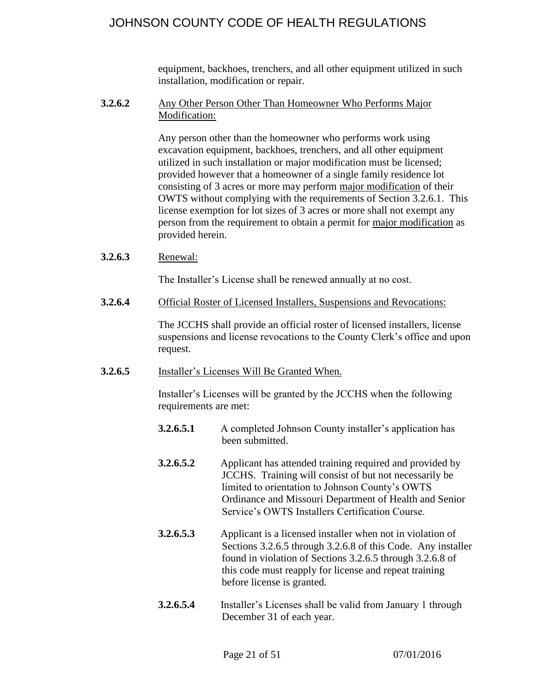equipment, backhoes, trenchers, and all other equipment utilized in such installation, modification or repair.

### <span id="page-20-0"></span>**3.2.6.2** Any Other Person Other Than Homeowner Who Performs Major Modification:

Any person other than the homeowner who performs work using excavation equipment, backhoes, trenchers, and all other equipment utilized in such installation or major modification must be licensed; provided however that a homeowner of a single family residence lot consisting of 3 acres or more may perform major modification of their OWTS without complying with the requirements of Section 3.2.6.1. This license exemption for lot sizes of 3 acres or more shall not exempt any person from the requirement to obtain a permit for major modification as provided herein.

<span id="page-20-1"></span>**3.2.6.3** Renewal:

The Installer's License shall be renewed annually at no cost.

<span id="page-20-2"></span>**3.2.6.4** Official Roster of Licensed Installers, Suspensions and Revocations:

The JCCHS shall provide an official roster of licensed installers, license suspensions and license revocations to the County Clerk's office and upon request.

<span id="page-20-3"></span>**3.2.6.5** Installer's Licenses Will Be Granted When.

Installer's Licenses will be granted by the JCCHS when the following requirements are met:

- **3.2.6.5.1** A completed Johnson County installer's application has been submitted.
- **3.2.6.5.2** Applicant has attended training required and provided by JCCHS. Training will consist of but not necessarily be limited to orientation to Johnson County's OWTS Ordinance and Missouri Department of Health and Senior Service's OWTS Installers Certification Course.
- **3.2.6.5.3** Applicant is a licensed installer when not in violation of Sections 3.2.6.5 through 3.2.6.8 of this Code. Any installer found in violation of Sections 3.2.6.5 through 3.2.6.8 of this code must reapply for license and repeat training before license is granted.
- **3.2.6.5.4** Installer's Licenses shall be valid from January 1 through December 31 of each year.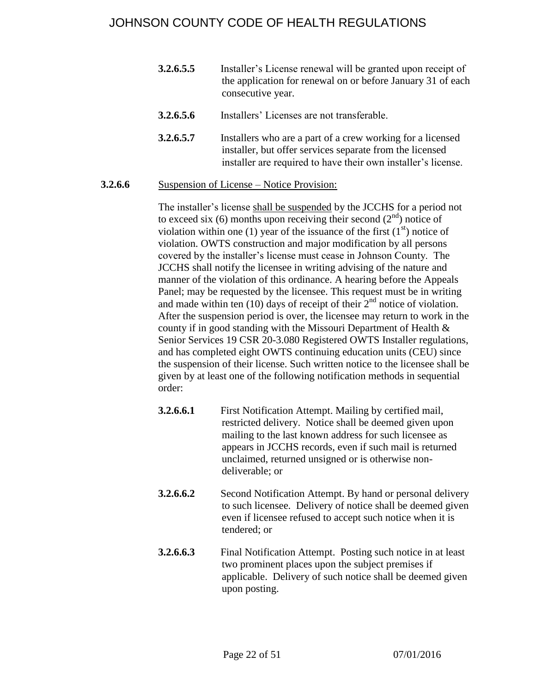- **3.2.6.5.5** Installer's License renewal will be granted upon receipt of the application for renewal on or before January 31 of each consecutive year.
- **3.2.6.5.6** Installers' Licenses are not transferable.
- **3.2.6.5.7** Installers who are a part of a crew working for a licensed installer, but offer services separate from the licensed installer are required to have their own installer's license.

#### <span id="page-21-0"></span>**3.2.6.6** Suspension of License – Notice Provision:

The installer's license shall be suspended by the JCCHS for a period not to exceed six (6) months upon receiving their second  $(2<sup>nd</sup>)$  notice of violation within one (1) year of the issuance of the first  $(1<sup>st</sup>)$  notice of violation. OWTS construction and major modification by all persons covered by the installer's license must cease in Johnson County. The JCCHS shall notify the licensee in writing advising of the nature and manner of the violation of this ordinance. A hearing before the Appeals Panel; may be requested by the licensee. This request must be in writing and made within ten (10) days of receipt of their  $2<sup>nd</sup>$  notice of violation. After the suspension period is over, the licensee may return to work in the county if in good standing with the Missouri Department of Health & Senior Services 19 CSR 20-3.080 Registered OWTS Installer regulations, and has completed eight OWTS continuing education units (CEU) since the suspension of their license. Such written notice to the licensee shall be given by at least one of the following notification methods in sequential order:

- **3.2.6.6.1** First Notification Attempt. Mailing by certified mail, restricted delivery. Notice shall be deemed given upon mailing to the last known address for such licensee as appears in JCCHS records, even if such mail is returned unclaimed, returned unsigned or is otherwise nondeliverable; or
- **3.2.6.6.2** Second Notification Attempt. By hand or personal delivery to such licensee. Delivery of notice shall be deemed given even if licensee refused to accept such notice when it is tendered; or
- **3.2.6.6.3** Final Notification Attempt. Posting such notice in at least two prominent places upon the subject premises if applicable. Delivery of such notice shall be deemed given upon posting.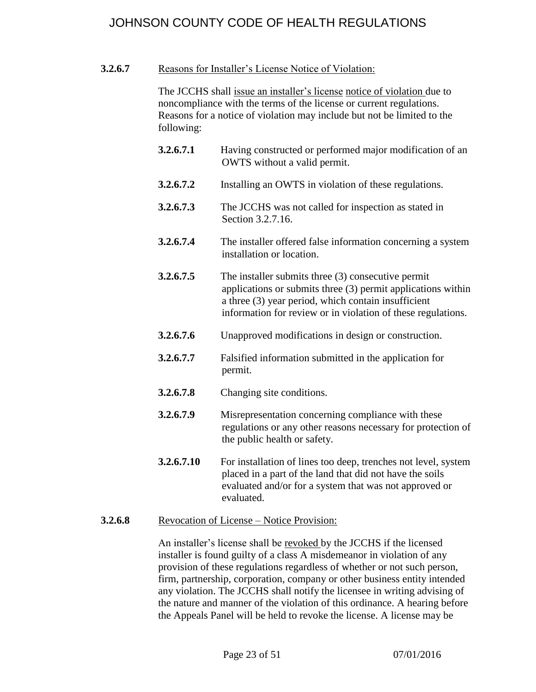### <span id="page-22-0"></span>**3.2.6.7** Reasons for Installer's License Notice of Violation:

The JCCHS shall issue an installer's license notice of violation due to noncompliance with the terms of the license or current regulations. Reasons for a notice of violation may include but not be limited to the following:

- **3.2.6.7.1** Having constructed or performed major modification of an OWTS without a valid permit.
- **3.2.6.7.2** Installing an OWTS in violation of these regulations.
- **3.2.6.7.3** The JCCHS was not called for inspection as stated in Section 3.2.7.16.
- **3.2.6.7.4** The installer offered false information concerning a system installation or location.
- **3.2.6.7.5** The installer submits three (3) consecutive permit applications or submits three (3) permit applications within a three (3) year period, which contain insufficient information for review or in violation of these regulations.
- **3.2.6.7.6** Unapproved modifications in design or construction.
- **3.2.6.7.7** Falsified information submitted in the application for permit.
- **3.2.6.7.8** Changing site conditions.
- **3.2.6.7.9** Misrepresentation concerning compliance with these regulations or any other reasons necessary for protection of the public health or safety.
- **3.2.6.7.10** For installation of lines too deep, trenches not level, system placed in a part of the land that did not have the soils evaluated and/or for a system that was not approved or evaluated.

#### <span id="page-22-1"></span>**3.2.6.8** Revocation of License – Notice Provision:

An installer's license shall be revoked by the JCCHS if the licensed installer is found guilty of a class A misdemeanor in violation of any provision of these regulations regardless of whether or not such person, firm, partnership, corporation, company or other business entity intended any violation. The JCCHS shall notify the licensee in writing advising of the nature and manner of the violation of this ordinance. A hearing before the Appeals Panel will be held to revoke the license. A license may be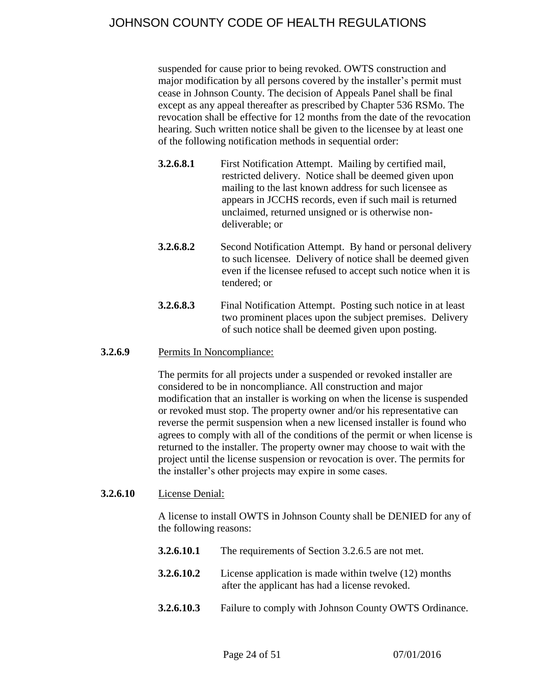suspended for cause prior to being revoked. OWTS construction and major modification by all persons covered by the installer's permit must cease in Johnson County. The decision of Appeals Panel shall be final except as any appeal thereafter as prescribed by Chapter 536 RSMo. The revocation shall be effective for 12 months from the date of the revocation hearing. Such written notice shall be given to the licensee by at least one of the following notification methods in sequential order:

- **3.2.6.8.1** First Notification Attempt. Mailing by certified mail, restricted delivery. Notice shall be deemed given upon mailing to the last known address for such licensee as appears in JCCHS records, even if such mail is returned unclaimed, returned unsigned or is otherwise nondeliverable; or
- **3.2.6.8.2** Second Notification Attempt. By hand or personal delivery to such licensee. Delivery of notice shall be deemed given even if the licensee refused to accept such notice when it is tendered; or
- **3.2.6.8.3** Final Notification Attempt. Posting such notice in at least two prominent places upon the subject premises. Delivery of such notice shall be deemed given upon posting.

### <span id="page-23-0"></span>**3.2.6.9** Permits In Noncompliance:

The permits for all projects under a suspended or revoked installer are considered to be in noncompliance. All construction and major modification that an installer is working on when the license is suspended or revoked must stop. The property owner and/or his representative can reverse the permit suspension when a new licensed installer is found who agrees to comply with all of the conditions of the permit or when license is returned to the installer. The property owner may choose to wait with the project until the license suspension or revocation is over. The permits for the installer's other projects may expire in some cases.

#### <span id="page-23-1"></span>**3.2.6.10** License Denial:

A license to install OWTS in Johnson County shall be DENIED for any of the following reasons:

- **3.2.6.10.1** The requirements of Section 3.2.6.5 are not met. **3.2.6.10.2** License application is made within twelve (12) months after the applicant has had a license revoked.
- **3.2.6.10.3** Failure to comply with Johnson County OWTS Ordinance.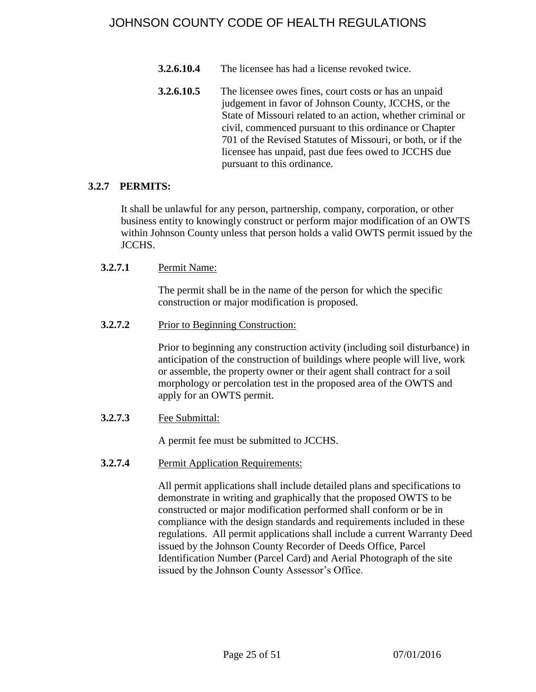- **3.2.6.10.4** The licensee has had a license revoked twice.
- **3.2.6.10.5** The licensee owes fines, court costs or has an unpaid judgement in favor of Johnson County, JCCHS, or the State of Missouri related to an action, whether criminal or civil, commenced pursuant to this ordinance or Chapter 701 of the Revised Statutes of Missouri, or both, or if the licensee has unpaid, past due fees owed to JCCHS due pursuant to this ordinance.

### <span id="page-24-0"></span>**3.2.7 PERMITS:**

It shall be unlawful for any person, partnership, company, corporation, or other business entity to knowingly construct or perform major modification of an OWTS within Johnson County unless that person holds a valid OWTS permit issued by the JCCHS.

### <span id="page-24-1"></span>**3.2.7.1** Permit Name:

The permit shall be in the name of the person for which the specific construction or major modification is proposed.

<span id="page-24-2"></span>**3.2.7.2** Prior to Beginning Construction:

Prior to beginning any construction activity (including soil disturbance) in anticipation of the construction of buildings where people will live, work or assemble, the property owner or their agent shall contract for a soil morphology or percolation test in the proposed area of the OWTS and apply for an OWTS permit.

<span id="page-24-3"></span>**3.2.7.3** Fee Submittal:

A permit fee must be submitted to JCCHS.

<span id="page-24-4"></span>**3.2.7.4** Permit Application Requirements:

All permit applications shall include detailed plans and specifications to demonstrate in writing and graphically that the proposed OWTS to be constructed or major modification performed shall conform or be in compliance with the design standards and requirements included in these regulations. All permit applications shall include a current Warranty Deed issued by the Johnson County Recorder of Deeds Office, Parcel Identification Number (Parcel Card) and Aerial Photograph of the site issued by the Johnson County Assessor's Office.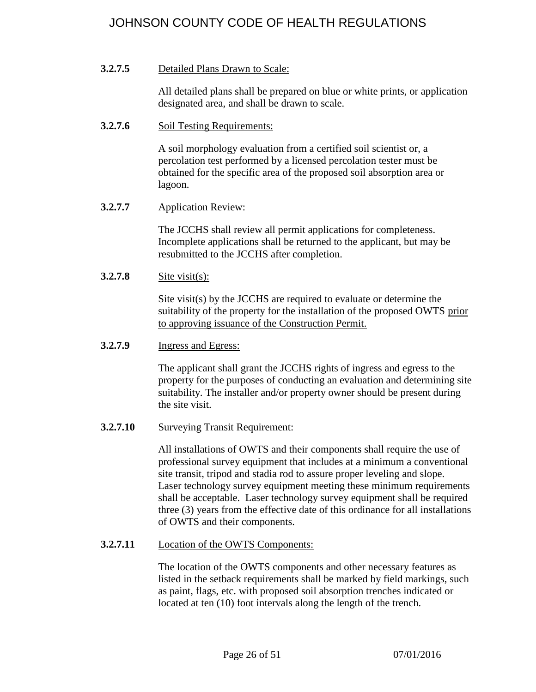## <span id="page-25-0"></span>**3.2.7.5** Detailed Plans Drawn to Scale:

All detailed plans shall be prepared on blue or white prints, or application designated area, and shall be drawn to scale.

## <span id="page-25-1"></span>**3.2.7.6** Soil Testing Requirements:

A soil morphology evaluation from a certified soil scientist or, a percolation test performed by a licensed percolation tester must be obtained for the specific area of the proposed soil absorption area or lagoon.

## <span id="page-25-2"></span>**3.2.7.7** Application Review:

The JCCHS shall review all permit applications for completeness. Incomplete applications shall be returned to the applicant, but may be resubmitted to the JCCHS after completion.

## <span id="page-25-3"></span>**3.2.7.8** Site visit(s):

Site visit(s) by the JCCHS are required to evaluate or determine the suitability of the property for the installation of the proposed OWTS prior to approving issuance of the Construction Permit.

### <span id="page-25-4"></span>**3.2.7.9** Ingress and Egress:

The applicant shall grant the JCCHS rights of ingress and egress to the property for the purposes of conducting an evaluation and determining site suitability. The installer and/or property owner should be present during the site visit.

## <span id="page-25-5"></span>**3.2.7.10** Surveying Transit Requirement:

All installations of OWTS and their components shall require the use of professional survey equipment that includes at a minimum a conventional site transit, tripod and stadia rod to assure proper leveling and slope. Laser technology survey equipment meeting these minimum requirements shall be acceptable. Laser technology survey equipment shall be required three (3) years from the effective date of this ordinance for all installations of OWTS and their components.

## <span id="page-25-6"></span>**3.2.7.11** Location of the OWTS Components:

The location of the OWTS components and other necessary features as listed in the setback requirements shall be marked by field markings, such as paint, flags, etc. with proposed soil absorption trenches indicated or located at ten (10) foot intervals along the length of the trench.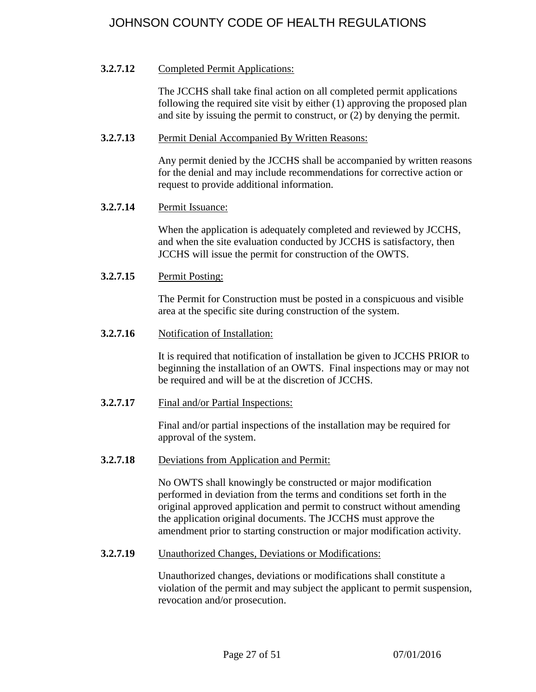## <span id="page-26-0"></span>**3.2.7.12** Completed Permit Applications:

The JCCHS shall take final action on all completed permit applications following the required site visit by either (1) approving the proposed plan and site by issuing the permit to construct, or (2) by denying the permit.

### <span id="page-26-1"></span>**3.2.7.13** Permit Denial Accompanied By Written Reasons:

Any permit denied by the JCCHS shall be accompanied by written reasons for the denial and may include recommendations for corrective action or request to provide additional information.

## <span id="page-26-2"></span>**3.2.7.14** Permit Issuance:

When the application is adequately completed and reviewed by JCCHS, and when the site evaluation conducted by JCCHS is satisfactory, then JCCHS will issue the permit for construction of the OWTS.

<span id="page-26-3"></span>**3.2.7.15** Permit Posting:

The Permit for Construction must be posted in a conspicuous and visible area at the specific site during construction of the system.

<span id="page-26-4"></span>**3.2.7.16** Notification of Installation:

It is required that notification of installation be given to JCCHS PRIOR to beginning the installation of an OWTS. Final inspections may or may not be required and will be at the discretion of JCCHS.

<span id="page-26-5"></span>**3.2.7.17** Final and/or Partial Inspections:

Final and/or partial inspections of the installation may be required for approval of the system.

<span id="page-26-6"></span>**3.2.7.18** Deviations from Application and Permit:

No OWTS shall knowingly be constructed or major modification performed in deviation from the terms and conditions set forth in the original approved application and permit to construct without amending the application original documents. The JCCHS must approve the amendment prior to starting construction or major modification activity.

<span id="page-26-7"></span>**3.2.7.19** Unauthorized Changes, Deviations or Modifications:

Unauthorized changes, deviations or modifications shall constitute a violation of the permit and may subject the applicant to permit suspension, revocation and/or prosecution.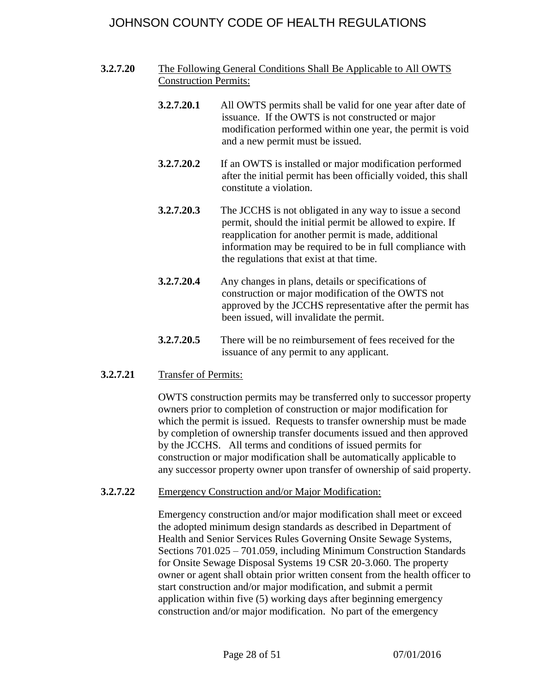- <span id="page-27-0"></span>**3.2.7.20** The Following General Conditions Shall Be Applicable to All OWTS Construction Permits:
	- **3.2.7.20.1** All OWTS permits shall be valid for one year after date of issuance. If the OWTS is not constructed or major modification performed within one year, the permit is void and a new permit must be issued.
	- **3.2.7.20.2** If an OWTS is installed or major modification performed after the initial permit has been officially voided, this shall constitute a violation.
	- **3.2.7.20.3** The JCCHS is not obligated in any way to issue a second permit, should the initial permit be allowed to expire. If reapplication for another permit is made, additional information may be required to be in full compliance with the regulations that exist at that time.
	- **3.2.7.20.4** Any changes in plans, details or specifications of construction or major modification of the OWTS not approved by the JCCHS representative after the permit has been issued, will invalidate the permit.
	- **3.2.7.20.5** There will be no reimbursement of fees received for the issuance of any permit to any applicant.
- <span id="page-27-1"></span>**3.2.7.21** Transfer of Permits:

OWTS construction permits may be transferred only to successor property owners prior to completion of construction or major modification for which the permit is issued. Requests to transfer ownership must be made by completion of ownership transfer documents issued and then approved by the JCCHS. All terms and conditions of issued permits for construction or major modification shall be automatically applicable to any successor property owner upon transfer of ownership of said property.

<span id="page-27-2"></span>**3.2.7.22** Emergency Construction and/or Major Modification:

Emergency construction and/or major modification shall meet or exceed the adopted minimum design standards as described in Department of Health and Senior Services Rules Governing Onsite Sewage Systems, Sections 701.025 – 701.059, including Minimum Construction Standards for Onsite Sewage Disposal Systems 19 CSR 20-3.060. The property owner or agent shall obtain prior written consent from the health officer to start construction and/or major modification, and submit a permit application within five (5) working days after beginning emergency construction and/or major modification. No part of the emergency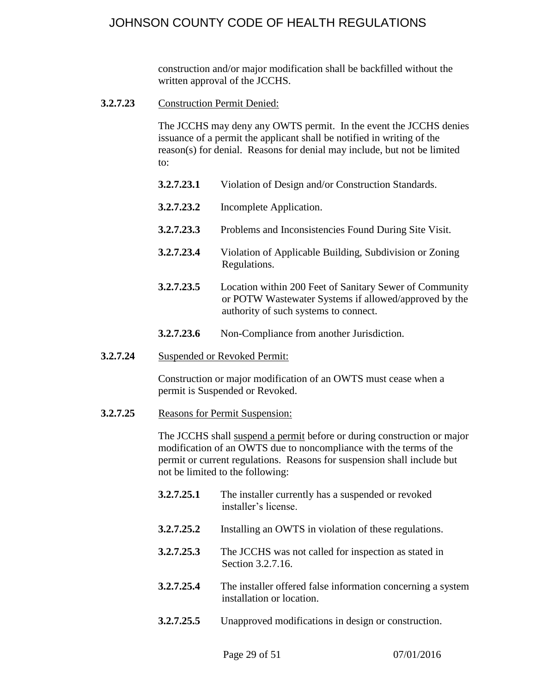construction and/or major modification shall be backfilled without the written approval of the JCCHS.

<span id="page-28-0"></span>**3.2.7.23** Construction Permit Denied:

The JCCHS may deny any OWTS permit. In the event the JCCHS denies issuance of a permit the applicant shall be notified in writing of the reason(s) for denial. Reasons for denial may include, but not be limited to:

- **3.2.7.23.1** Violation of Design and/or Construction Standards.
- **3.2.7.23.2** Incomplete Application.
- **3.2.7.23.3** Problems and Inconsistencies Found During Site Visit.
- **3.2.7.23.4** Violation of Applicable Building, Subdivision or Zoning Regulations.
- **3.2.7.23.5** Location within 200 Feet of Sanitary Sewer of Community or POTW Wastewater Systems if allowed/approved by the authority of such systems to connect.
- **3.2.7.23.6** Non-Compliance from another Jurisdiction.
- <span id="page-28-1"></span>**3.2.7.24** Suspended or Revoked Permit:

Construction or major modification of an OWTS must cease when a permit is Suspended or Revoked.

<span id="page-28-2"></span>**3.2.7.25** Reasons for Permit Suspension:

The JCCHS shall suspend a permit before or during construction or major modification of an OWTS due to noncompliance with the terms of the permit or current regulations. Reasons for suspension shall include but not be limited to the following:

- **3.2.7.25.1** The installer currently has a suspended or revoked installer's license.
- **3.2.7.25.2** Installing an OWTS in violation of these regulations.
- **3.2.7.25.3** The JCCHS was not called for inspection as stated in Section 3.2.7.16.
- **3.2.7.25.4** The installer offered false information concerning a system installation or location.
- **3.2.7.25.5** Unapproved modifications in design or construction.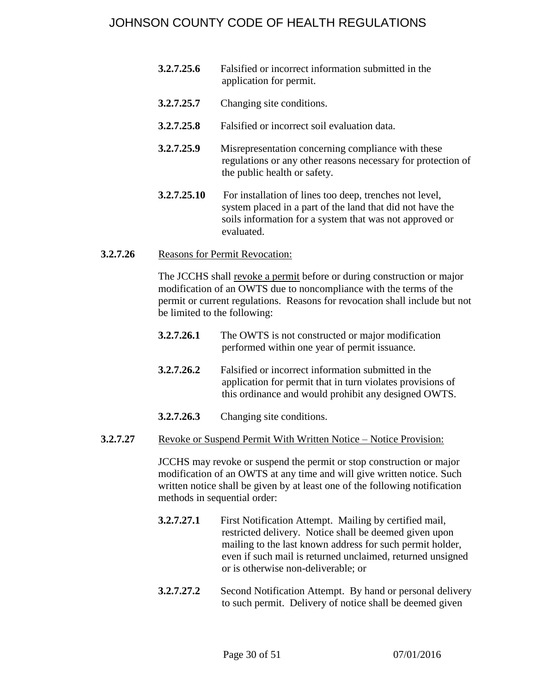- **3.2.7.25.6** Falsified or incorrect information submitted in the application for permit.
- **3.2.7.25.7** Changing site conditions.
- **3.2.7.25.8** Falsified or incorrect soil evaluation data.
- **3.2.7.25.9** Misrepresentation concerning compliance with these regulations or any other reasons necessary for protection of the public health or safety.
- **3.2.7.25.10** For installation of lines too deep, trenches not level, system placed in a part of the land that did not have the soils information for a system that was not approved or evaluated.

## <span id="page-29-0"></span>**3.2.7.26** Reasons for Permit Revocation:

The JCCHS shall revoke a permit before or during construction or major modification of an OWTS due to noncompliance with the terms of the permit or current regulations. Reasons for revocation shall include but not be limited to the following:

- **3.2.7.26.1** The OWTS is not constructed or major modification performed within one year of permit issuance.
- **3.2.7.26.2** Falsified or incorrect information submitted in the application for permit that in turn violates provisions of this ordinance and would prohibit any designed OWTS.
- **3.2.7.26.3** Changing site conditions.
- <span id="page-29-1"></span>**3.2.7.27** Revoke or Suspend Permit With Written Notice – Notice Provision:

JCCHS may revoke or suspend the permit or stop construction or major modification of an OWTS at any time and will give written notice. Such written notice shall be given by at least one of the following notification methods in sequential order:

- **3.2.7.27.1** First Notification Attempt. Mailing by certified mail, restricted delivery. Notice shall be deemed given upon mailing to the last known address for such permit holder, even if such mail is returned unclaimed, returned unsigned or is otherwise non-deliverable; or
- **3.2.7.27.2** Second Notification Attempt. By hand or personal delivery to such permit. Delivery of notice shall be deemed given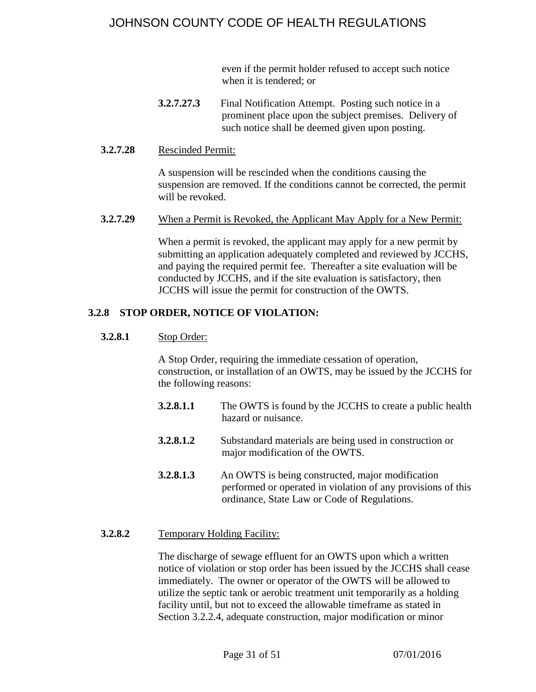even if the permit holder refused to accept such notice when it is tendered; or

**3.2.7.27.3** Final Notification Attempt. Posting such notice in a prominent place upon the subject premises. Delivery of such notice shall be deemed given upon posting.

#### <span id="page-30-0"></span>**3.2.7.28** Rescinded Permit:

A suspension will be rescinded when the conditions causing the suspension are removed. If the conditions cannot be corrected, the permit will be revoked.

<span id="page-30-1"></span>**3.2.7.29** When a Permit is Revoked, the Applicant May Apply for a New Permit:

When a permit is revoked, the applicant may apply for a new permit by submitting an application adequately completed and reviewed by JCCHS, and paying the required permit fee. Thereafter a site evaluation will be conducted by JCCHS, and if the site evaluation is satisfactory, then JCCHS will issue the permit for construction of the OWTS.

#### <span id="page-30-3"></span><span id="page-30-2"></span>**3.2.8 STOP ORDER, NOTICE OF VIOLATION:**

#### **3.2.8.1** Stop Order:

A Stop Order, requiring the immediate cessation of operation, construction, or installation of an OWTS, may be issued by the JCCHS for the following reasons:

- **3.2.8.1.1** The OWTS is found by the JCCHS to create a public health hazard or nuisance.
- **3.2.8.1.2** Substandard materials are being used in construction or major modification of the OWTS.
- **3.2.8.1.3** An OWTS is being constructed, major modification performed or operated in violation of any provisions of this ordinance, State Law or Code of Regulations.

#### <span id="page-30-4"></span>**3.2.8.2** Temporary Holding Facility:

The discharge of sewage effluent for an OWTS upon which a written notice of violation or stop order has been issued by the JCCHS shall cease immediately. The owner or operator of the OWTS will be allowed to utilize the septic tank or aerobic treatment unit temporarily as a holding facility until, but not to exceed the allowable timeframe as stated in Section 3.2.2.4, adequate construction, major modification or minor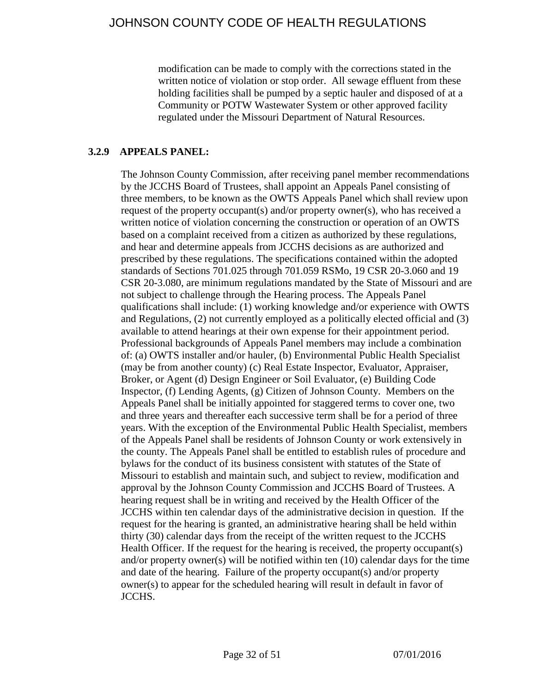modification can be made to comply with the corrections stated in the written notice of violation or stop order. All sewage effluent from these holding facilities shall be pumped by a septic hauler and disposed of at a Community or POTW Wastewater System or other approved facility regulated under the Missouri Department of Natural Resources.

## <span id="page-31-0"></span>**3.2.9 APPEALS PANEL:**

The Johnson County Commission, after receiving panel member recommendations by the JCCHS Board of Trustees, shall appoint an Appeals Panel consisting of three members, to be known as the OWTS Appeals Panel which shall review upon request of the property occupant(s) and/or property owner(s), who has received a written notice of violation concerning the construction or operation of an OWTS based on a complaint received from a citizen as authorized by these regulations, and hear and determine appeals from JCCHS decisions as are authorized and prescribed by these regulations. The specifications contained within the adopted standards of Sections 701.025 through 701.059 RSMo, 19 CSR 20-3.060 and 19 CSR 20-3.080, are minimum regulations mandated by the State of Missouri and are not subject to challenge through the Hearing process. The Appeals Panel qualifications shall include: (1) working knowledge and/or experience with OWTS and Regulations, (2) not currently employed as a politically elected official and (3) available to attend hearings at their own expense for their appointment period. Professional backgrounds of Appeals Panel members may include a combination of: (a) OWTS installer and/or hauler, (b) Environmental Public Health Specialist (may be from another county) (c) Real Estate Inspector, Evaluator, Appraiser, Broker, or Agent (d) Design Engineer or Soil Evaluator, (e) Building Code Inspector, (f) Lending Agents, (g) Citizen of Johnson County. Members on the Appeals Panel shall be initially appointed for staggered terms to cover one, two and three years and thereafter each successive term shall be for a period of three years. With the exception of the Environmental Public Health Specialist, members of the Appeals Panel shall be residents of Johnson County or work extensively in the county. The Appeals Panel shall be entitled to establish rules of procedure and bylaws for the conduct of its business consistent with statutes of the State of Missouri to establish and maintain such, and subject to review, modification and approval by the Johnson County Commission and JCCHS Board of Trustees. A hearing request shall be in writing and received by the Health Officer of the JCCHS within ten calendar days of the administrative decision in question. If the request for the hearing is granted, an administrative hearing shall be held within thirty (30) calendar days from the receipt of the written request to the JCCHS Health Officer. If the request for the hearing is received, the property occupant(s) and/or property owner(s) will be notified within ten (10) calendar days for the time and date of the hearing. Failure of the property occupant(s) and/or property owner(s) to appear for the scheduled hearing will result in default in favor of JCCHS.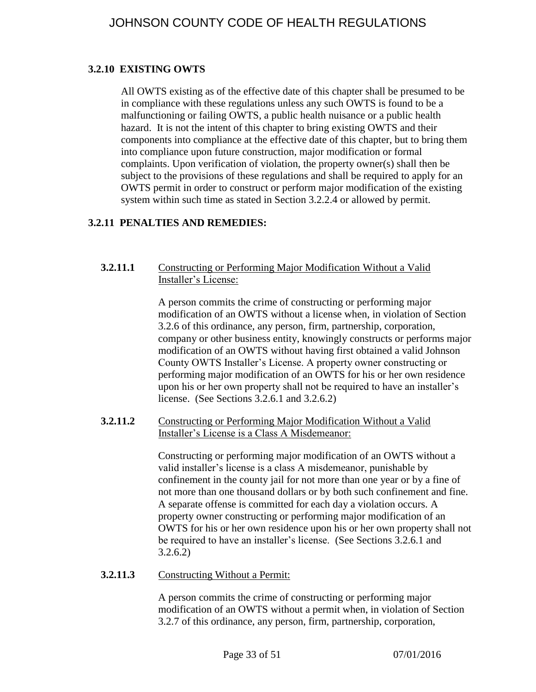## <span id="page-32-0"></span>**3.2.10 EXISTING OWTS**

All OWTS existing as of the effective date of this chapter shall be presumed to be in compliance with these regulations unless any such OWTS is found to be a malfunctioning or failing OWTS, a public health nuisance or a public health hazard. It is not the intent of this chapter to bring existing OWTS and their components into compliance at the effective date of this chapter, but to bring them into compliance upon future construction, major modification or formal complaints. Upon verification of violation, the property owner(s) shall then be subject to the provisions of these regulations and shall be required to apply for an OWTS permit in order to construct or perform major modification of the existing system within such time as stated in Section 3.2.2.4 or allowed by permit.

## <span id="page-32-1"></span>**3.2.11 PENALTIES AND REMEDIES:**

### <span id="page-32-2"></span>**3.2.11.1** Constructing or Performing Major Modification Without a Valid Installer's License:

A person commits the crime of constructing or performing major modification of an OWTS without a license when, in violation of Section 3.2.6 of this ordinance, any person, firm, partnership, corporation, company or other business entity, knowingly constructs or performs major modification of an OWTS without having first obtained a valid Johnson County OWTS Installer's License. A property owner constructing or performing major modification of an OWTS for his or her own residence upon his or her own property shall not be required to have an installer's license. (See Sections 3.2.6.1 and 3.2.6.2)

### <span id="page-32-3"></span>**3.2.11.2** Constructing or Performing Major Modification Without a Valid Installer's License is a Class A Misdemeanor:

Constructing or performing major modification of an OWTS without a valid installer's license is a class A misdemeanor, punishable by confinement in the county jail for not more than one year or by a fine of not more than one thousand dollars or by both such confinement and fine. A separate offense is committed for each day a violation occurs. A property owner constructing or performing major modification of an OWTS for his or her own residence upon his or her own property shall not be required to have an installer's license. (See Sections 3.2.6.1 and 3.2.6.2)

## <span id="page-32-4"></span>**3.2.11.3** Constructing Without a Permit:

A person commits the crime of constructing or performing major modification of an OWTS without a permit when, in violation of Section 3.2.7 of this ordinance, any person, firm, partnership, corporation,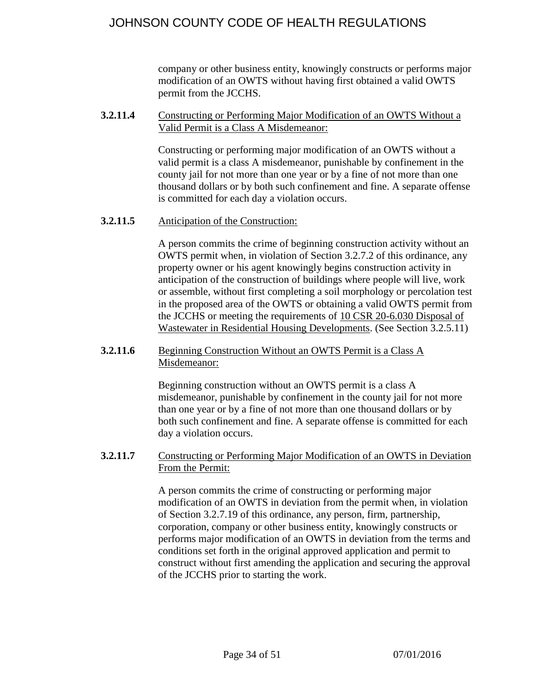company or other business entity, knowingly constructs or performs major modification of an OWTS without having first obtained a valid OWTS permit from the JCCHS.

### <span id="page-33-0"></span>**3.2.11.4** Constructing or Performing Major Modification of an OWTS Without a Valid Permit is a Class A Misdemeanor:

Constructing or performing major modification of an OWTS without a valid permit is a class A misdemeanor, punishable by confinement in the county jail for not more than one year or by a fine of not more than one thousand dollars or by both such confinement and fine. A separate offense is committed for each day a violation occurs.

## <span id="page-33-1"></span>**3.2.11.5** Anticipation of the Construction:

A person commits the crime of beginning construction activity without an OWTS permit when, in violation of Section 3.2.7.2 of this ordinance, any property owner or his agent knowingly begins construction activity in anticipation of the construction of buildings where people will live, work or assemble, without first completing a soil morphology or percolation test in the proposed area of the OWTS or obtaining a valid OWTS permit from the JCCHS or meeting the requirements of 10 CSR 20-6.030 Disposal of Wastewater in Residential Housing Developments. (See Section 3.2.5.11)

### <span id="page-33-2"></span>**3.2.11.6** Beginning Construction Without an OWTS Permit is a Class A Misdemeanor:

Beginning construction without an OWTS permit is a class A misdemeanor, punishable by confinement in the county jail for not more than one year or by a fine of not more than one thousand dollars or by both such confinement and fine. A separate offense is committed for each day a violation occurs.

### <span id="page-33-3"></span>**3.2.11.7** Constructing or Performing Major Modification of an OWTS in Deviation From the Permit:

A person commits the crime of constructing or performing major modification of an OWTS in deviation from the permit when, in violation of Section 3.2.7.19 of this ordinance, any person, firm, partnership, corporation, company or other business entity, knowingly constructs or performs major modification of an OWTS in deviation from the terms and conditions set forth in the original approved application and permit to construct without first amending the application and securing the approval of the JCCHS prior to starting the work.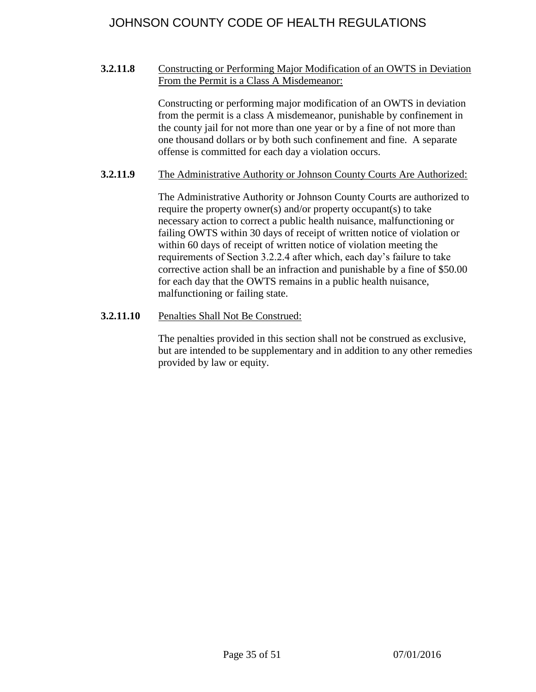### <span id="page-34-0"></span>**3.2.11.8** Constructing or Performing Major Modification of an OWTS in Deviation From the Permit is a Class A Misdemeanor:

Constructing or performing major modification of an OWTS in deviation from the permit is a class A misdemeanor, punishable by confinement in the county jail for not more than one year or by a fine of not more than one thousand dollars or by both such confinement and fine. A separate offense is committed for each day a violation occurs.

### <span id="page-34-1"></span>**3.2.11.9** The Administrative Authority or Johnson County Courts Are Authorized:

The Administrative Authority or Johnson County Courts are authorized to require the property owner(s) and/or property occupant(s) to take necessary action to correct a public health nuisance, malfunctioning or failing OWTS within 30 days of receipt of written notice of violation or within 60 days of receipt of written notice of violation meeting the requirements of Section 3.2.2.4 after which, each day's failure to take corrective action shall be an infraction and punishable by a fine of \$50.00 for each day that the OWTS remains in a public health nuisance, malfunctioning or failing state.

## <span id="page-34-2"></span>**3.2.11.10** Penalties Shall Not Be Construed:

The penalties provided in this section shall not be construed as exclusive, but are intended to be supplementary and in addition to any other remedies provided by law or equity.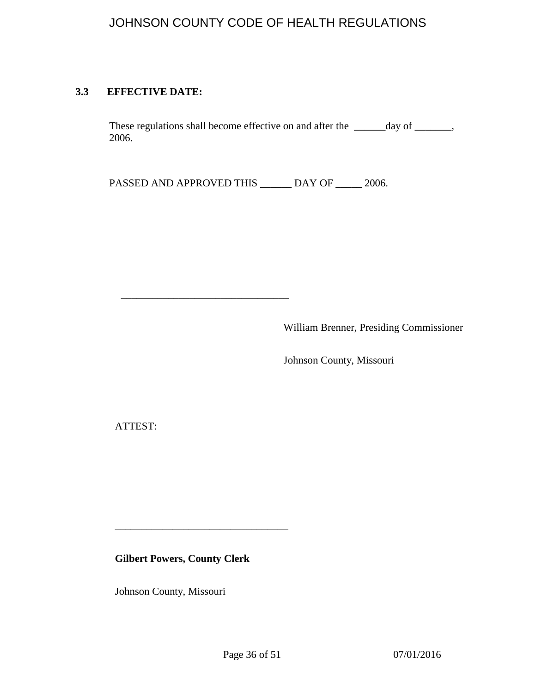## <span id="page-35-0"></span>**3.3 EFFECTIVE DATE:**

These regulations shall become effective on and after the \_\_\_\_\_day of \_\_\_\_\_, 2006.

PASSED AND APPROVED THIS \_\_\_\_\_\_ DAY OF \_\_\_\_\_ 2006.

\_\_\_\_\_\_\_\_\_\_\_\_\_\_\_\_\_\_\_\_\_\_\_\_\_\_\_\_\_\_\_\_

William Brenner, Presiding Commissioner

Johnson County, Missouri

ATTEST:

**Gilbert Powers, County Clerk**

\_\_\_\_\_\_\_\_\_\_\_\_\_\_\_\_\_\_\_\_\_\_\_\_\_\_\_\_\_\_\_\_\_

Johnson County, Missouri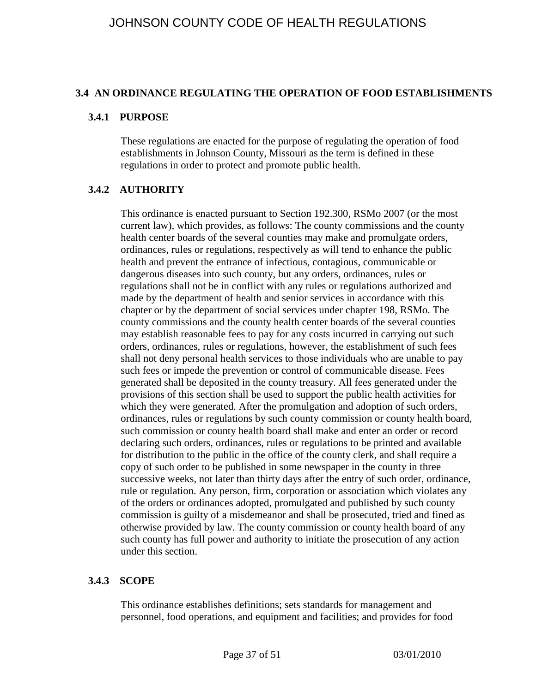#### **3.4 AN ORDINANCE REGULATING THE OPERATION OF FOOD ESTABLISHMENTS**

#### <span id="page-36-0"></span>**3.4.1 PURPOSE**

These regulations are enacted for the purpose of regulating the operation of food establishments in Johnson County, Missouri as the term is defined in these regulations in order to protect and promote public health.

## <span id="page-36-1"></span>**3.4.2 AUTHORITY**

This ordinance is enacted pursuant to Section 192.300, RSMo 2007 (or the most current law), which provides, as follows: The county commissions and the county health center boards of the several counties may make and promulgate orders, ordinances, rules or regulations, respectively as will tend to enhance the public health and prevent the entrance of infectious, contagious, communicable or dangerous diseases into such county, but any orders, ordinances, rules or regulations shall not be in conflict with any rules or regulations authorized and made by the department of health and senior services in accordance with this chapter or by the department of social services under chapter 198, RSMo. The county commissions and the county health center boards of the several counties may establish reasonable fees to pay for any costs incurred in carrying out such orders, ordinances, rules or regulations, however, the establishment of such fees shall not deny personal health services to those individuals who are unable to pay such fees or impede the prevention or control of communicable disease. Fees generated shall be deposited in the county treasury. All fees generated under the provisions of this section shall be used to support the public health activities for which they were generated. After the promulgation and adoption of such orders, ordinances, rules or regulations by such county commission or county health board, such commission or county health board shall make and enter an order or record declaring such orders, ordinances, rules or regulations to be printed and available for distribution to the public in the office of the county clerk, and shall require a copy of such order to be published in some newspaper in the county in three successive weeks, not later than thirty days after the entry of such order, ordinance, rule or regulation. Any person, firm, corporation or association which violates any of the orders or ordinances adopted, promulgated and published by such county commission is guilty of a misdemeanor and shall be prosecuted, tried and fined as otherwise provided by law. The county commission or county health board of any such county has full power and authority to initiate the prosecution of any action under this section.

## <span id="page-36-2"></span>**3.4.3 SCOPE**

This ordinance establishes definitions; sets standards for management and personnel, food operations, and equipment and facilities; and provides for food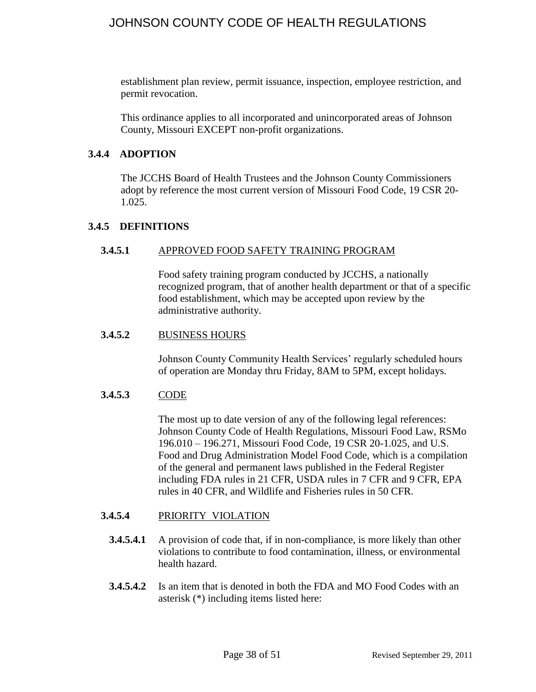establishment plan review, permit issuance, inspection, employee restriction, and permit revocation.

This ordinance applies to all incorporated and unincorporated areas of Johnson County, Missouri EXCEPT non-profit organizations.

### <span id="page-37-0"></span>**3.4.4 ADOPTION**

The JCCHS Board of Health Trustees and the Johnson County Commissioners adopt by reference the most current version of Missouri Food Code, 19 CSR 20- 1.025.

### <span id="page-37-2"></span><span id="page-37-1"></span>**3.4.5 DEFINITIONS**

### **3.4.5.1** APPROVED FOOD SAFETY TRAINING PROGRAM

Food safety training program conducted by JCCHS, a nationally recognized program, that of another health department or that of a specific food establishment, which may be accepted upon review by the administrative authority.

#### <span id="page-37-3"></span>**3.4.5.2** BUSINESS HOURS

Johnson County Community Health Services' regularly scheduled hours of operation are Monday thru Friday, 8AM to 5PM, except holidays.

## <span id="page-37-4"></span>**3.4.5.3** CODE

The most up to date version of any of the following legal references: Johnson County Code of Health Regulations, Missouri Food Law, RSMo 196.010 – 196.271, Missouri Food Code, 19 CSR 20-1.025, and U.S. Food and Drug Administration Model Food Code, which is a compilation of the general and permanent laws published in the Federal Register including FDA rules in 21 CFR, USDA rules in 7 CFR and 9 CFR, EPA rules in 40 CFR, and Wildlife and Fisheries rules in 50 CFR.

#### <span id="page-37-5"></span>**3.4.5.4** PRIORITY VIOLATION

- **3.4.5.4.1** A provision of code that, if in non-compliance, is more likely than other violations to contribute to food contamination, illness, or environmental health hazard.
- **3.4.5.4.2** Is an item that is denoted in both the FDA and MO Food Codes with an asterisk (\*) including items listed here: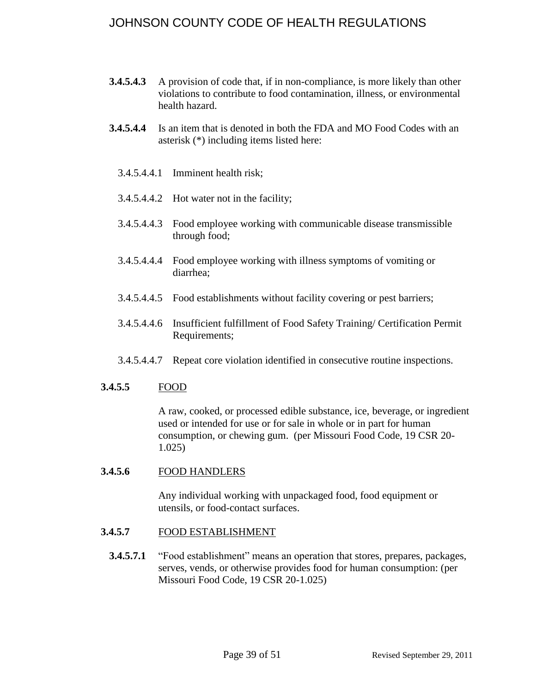- **3.4.5.4.3** A provision of code that, if in non-compliance, is more likely than other violations to contribute to food contamination, illness, or environmental health hazard.
- **3.4.5.4.4** Is an item that is denoted in both the FDA and MO Food Codes with an asterisk (\*) including items listed here:
	- 3.4.5.4.4.1 Imminent health risk;
	- 3.4.5.4.4.2 Hot water not in the facility;
	- 3.4.5.4.4.3 Food employee working with communicable disease transmissible through food;
	- 3.4.5.4.4.4 Food employee working with illness symptoms of vomiting or diarrhea;
	- 3.4.5.4.4.5 Food establishments without facility covering or pest barriers;
	- 3.4.5.4.4.6 Insufficient fulfillment of Food Safety Training/ Certification Permit Requirements;
	- 3.4.5.4.4.7 Repeat core violation identified in consecutive routine inspections.

#### <span id="page-38-0"></span>**3.4.5.5** FOOD

A raw, cooked, or processed edible substance, ice, beverage, or ingredient used or intended for use or for sale in whole or in part for human consumption, or chewing gum. (per Missouri Food Code, 19 CSR 20- 1.025)

#### <span id="page-38-1"></span>**3.4.5.6** FOOD HANDLERS

Any individual working with unpackaged food, food equipment or utensils, or food-contact surfaces.

- <span id="page-38-2"></span>**3.4.5.7** FOOD ESTABLISHMENT
	- **3.4.5.7.1** "Food establishment" means an operation that stores, prepares, packages, serves, vends, or otherwise provides food for human consumption: (per Missouri Food Code, 19 CSR 20-1.025)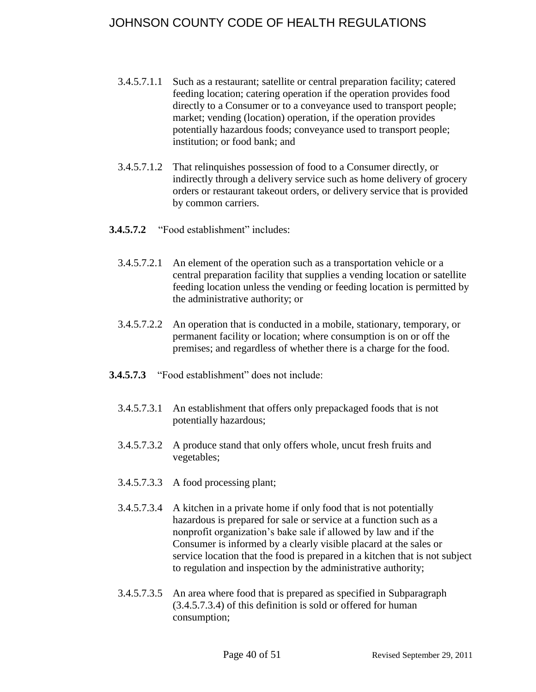- 3.4.5.7.1.1 Such as a restaurant; satellite or central preparation facility; catered feeding location; catering operation if the operation provides food directly to a Consumer or to a conveyance used to transport people; market; vending (location) operation, if the operation provides potentially hazardous foods; conveyance used to transport people; institution; or food bank; and
- 3.4.5.7.1.2 That relinquishes possession of food to a Consumer directly, or indirectly through a delivery service such as home delivery of grocery orders or restaurant takeout orders, or delivery service that is provided by common carriers.
- **3.4.5.7.2** "Food establishment" includes:
	- 3.4.5.7.2.1 An element of the operation such as a transportation vehicle or a central preparation facility that supplies a vending location or satellite feeding location unless the vending or feeding location is permitted by the administrative authority; or
	- 3.4.5.7.2.2 An operation that is conducted in a mobile, stationary, temporary, or permanent facility or location; where consumption is on or off the premises; and regardless of whether there is a charge for the food.
- **3.4.5.7.3** "Food establishment" does not include:
	- 3.4.5.7.3.1 An establishment that offers only prepackaged foods that is not potentially hazardous;
	- 3.4.5.7.3.2 A produce stand that only offers whole, uncut fresh fruits and vegetables;
	- 3.4.5.7.3.3 A food processing plant;
	- 3.4.5.7.3.4 A kitchen in a private home if only food that is not potentially hazardous is prepared for sale or service at a function such as a nonprofit organization's bake sale if allowed by law and if the Consumer is informed by a clearly visible placard at the sales or service location that the food is prepared in a kitchen that is not subject to regulation and inspection by the administrative authority;
	- 3.4.5.7.3.5 An area where food that is prepared as specified in Subparagraph (3.4.5.7.3.4) of this definition is sold or offered for human consumption;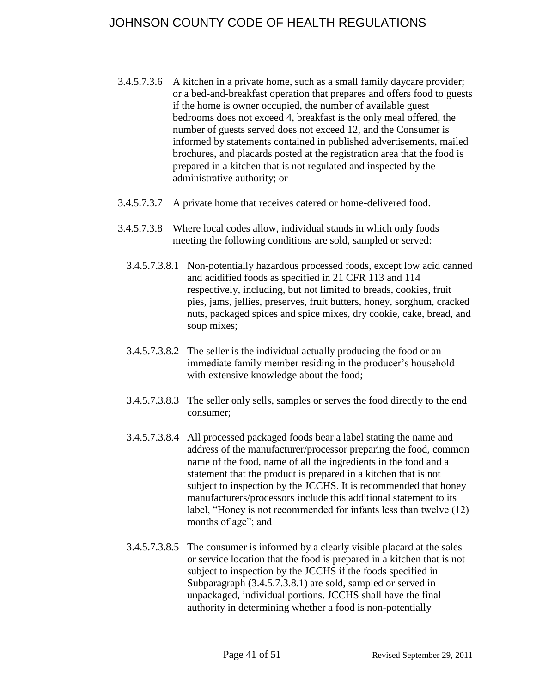- 3.4.5.7.3.6 A kitchen in a private home, such as a small family daycare provider; or a bed-and-breakfast operation that prepares and offers food to guests if the home is owner occupied, the number of available guest bedrooms does not exceed 4, breakfast is the only meal offered, the number of guests served does not exceed 12, and the Consumer is informed by statements contained in published advertisements, mailed brochures, and placards posted at the registration area that the food is prepared in a kitchen that is not regulated and inspected by the administrative authority; or
- 3.4.5.7.3.7 A private home that receives catered or home-delivered food.
- 3.4.5.7.3.8 Where local codes allow, individual stands in which only foods meeting the following conditions are sold, sampled or served:
	- 3.4.5.7.3.8.1 Non-potentially hazardous processed foods, except low acid canned and acidified foods as specified in 21 CFR 113 and 114 respectively, including, but not limited to breads, cookies, fruit pies, jams, jellies, preserves, fruit butters, honey, sorghum, cracked nuts, packaged spices and spice mixes, dry cookie, cake, bread, and soup mixes;
	- 3.4.5.7.3.8.2 The seller is the individual actually producing the food or an immediate family member residing in the producer's household with extensive knowledge about the food;
	- 3.4.5.7.3.8.3 The seller only sells, samples or serves the food directly to the end consumer;
	- 3.4.5.7.3.8.4 All processed packaged foods bear a label stating the name and address of the manufacturer/processor preparing the food, common name of the food, name of all the ingredients in the food and a statement that the product is prepared in a kitchen that is not subject to inspection by the JCCHS. It is recommended that honey manufacturers/processors include this additional statement to its label, "Honey is not recommended for infants less than twelve (12) months of age"; and
	- 3.4.5.7.3.8.5 The consumer is informed by a clearly visible placard at the sales or service location that the food is prepared in a kitchen that is not subject to inspection by the JCCHS if the foods specified in Subparagraph (3.4.5.7.3.8.1) are sold, sampled or served in unpackaged, individual portions. JCCHS shall have the final authority in determining whether a food is non-potentially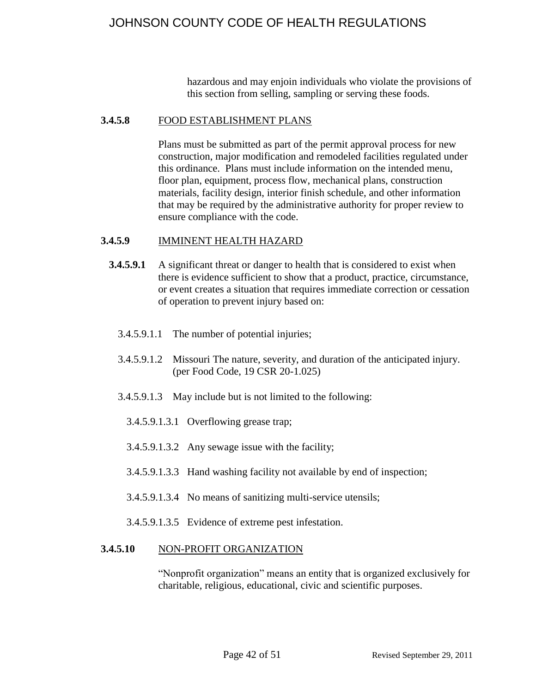hazardous and may enjoin individuals who violate the provisions of this section from selling, sampling or serving these foods.

#### <span id="page-41-0"></span>**3.4.5.8** FOOD ESTABLISHMENT PLANS

Plans must be submitted as part of the permit approval process for new construction, major modification and remodeled facilities regulated under this ordinance. Plans must include information on the intended menu, floor plan, equipment, process flow, mechanical plans, construction materials, facility design, interior finish schedule, and other information that may be required by the administrative authority for proper review to ensure compliance with the code.

### <span id="page-41-1"></span>**3.4.5.9** IMMINENT HEALTH HAZARD

- **3.4.5.9.1** A significant threat or danger to health that is considered to exist when there is evidence sufficient to show that a product, practice, circumstance, or event creates a situation that requires immediate correction or cessation of operation to prevent injury based on:
	- 3.4.5.9.1.1 The number of potential injuries;
	- 3.4.5.9.1.2 Missouri The nature, severity, and duration of the anticipated injury. (per Food Code, 19 CSR 20-1.025)
	- 3.4.5.9.1.3 May include but is not limited to the following:
		- 3.4.5.9.1.3.1 Overflowing grease trap;
		- 3.4.5.9.1.3.2 Any sewage issue with the facility;
		- 3.4.5.9.1.3.3 Hand washing facility not available by end of inspection;
		- 3.4.5.9.1.3.4 No means of sanitizing multi-service utensils;

3.4.5.9.1.3.5 Evidence of extreme pest infestation.

#### <span id="page-41-2"></span>**3.4.5.10** NON-PROFIT ORGANIZATION

"Nonprofit organization" means an entity that is organized exclusively for charitable, religious, educational, civic and scientific purposes.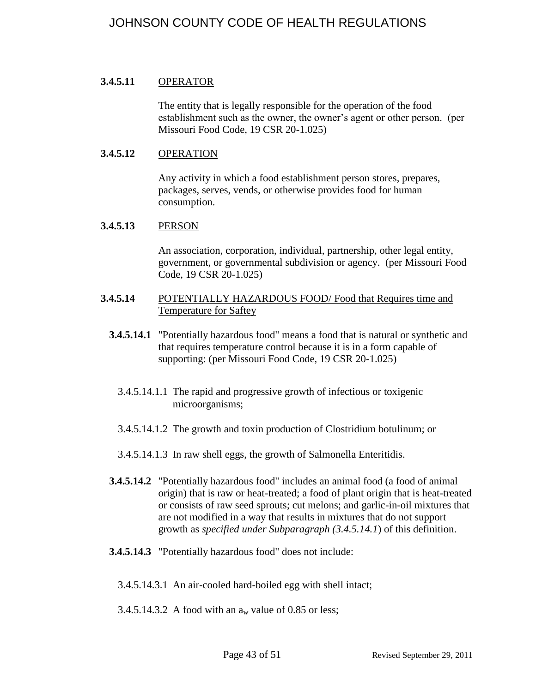#### <span id="page-42-0"></span>**3.4.5.11** OPERATOR

The entity that is legally responsible for the operation of the food establishment such as the owner, the owner's agent or other person. (per Missouri Food Code, 19 CSR 20-1.025)

#### <span id="page-42-1"></span>**3.4.5.12** OPERATION

Any activity in which a food establishment person stores, prepares, packages, serves, vends, or otherwise provides food for human consumption.

#### <span id="page-42-2"></span>**3.4.5.13** PERSON

An association, corporation, individual, partnership, other legal entity, government, or governmental subdivision or agency. (per Missouri Food Code, 19 CSR 20-1.025)

- <span id="page-42-3"></span>**3.4.5.14** POTENTIALLY HAZARDOUS FOOD/ Food that Requires time and Temperature for Saftey
	- **3.4.5.14.1** "Potentially hazardous food" means a food that is natural or synthetic and that requires temperature control because it is in a form capable of supporting: (per Missouri Food Code, 19 CSR 20-1.025)
		- 3.4.5.14.1.1 The rapid and progressive growth of infectious or toxigenic microorganisms;
		- 3.4.5.14.1.2 The growth and toxin production of Clostridium botulinum; or
		- 3.4.5.14.1.3 In raw shell eggs, the growth of Salmonella Enteritidis.
	- **3.4.5.14.2** "Potentially hazardous food" includes an animal food (a food of animal origin) that is raw or heat-treated; a food of plant origin that is heat-treated or consists of raw seed sprouts; cut melons; and garlic-in-oil mixtures that are not modified in a way that results in mixtures that do not support growth as *specified under Subparagraph (3.4.5.14.1*) of this definition.
	- **3.4.5.14.3** "Potentially hazardous food" does not include:

3.4.5.14.3.1 An air-cooled hard-boiled egg with shell intact;

3.4.5.14.3.2 A food with an  $a_w$  value of 0.85 or less;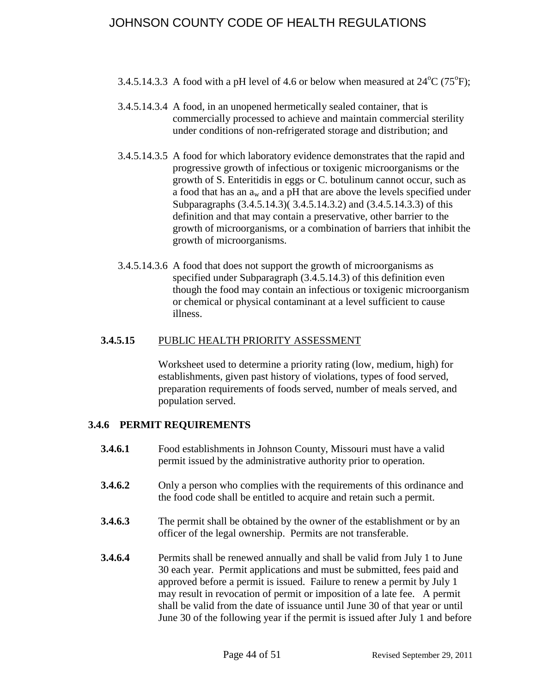- 3.4.5.14.3.3 A food with a pH level of 4.6 or below when measured at  $24^{\circ}C$  (75 $^{\circ}F$ );
- 3.4.5.14.3.4 A food, in an unopened hermetically sealed container, that is commercially processed to achieve and maintain commercial sterility under conditions of non-refrigerated storage and distribution; and
- 3.4.5.14.3.5 A food for which laboratory evidence demonstrates that the rapid and progressive growth of infectious or toxigenic microorganisms or the growth of S. Enteritidis in eggs or C. botulinum cannot occur, such as a food that has an  $a_w$  and a pH that are above the levels specified under Subparagraphs (3.4.5.14.3)( 3.4.5.14.3.2) and (3.4.5.14.3.3) of this definition and that may contain a preservative, other barrier to the growth of microorganisms, or a combination of barriers that inhibit the growth of microorganisms.
- 3.4.5.14.3.6 A food that does not support the growth of microorganisms as specified under Subparagraph (3.4.5.14.3) of this definition even though the food may contain an infectious or toxigenic microorganism or chemical or physical contaminant at a level sufficient to cause illness.

### <span id="page-43-0"></span>**3.4.5.15** PUBLIC HEALTH PRIORITY ASSESSMENT

Worksheet used to determine a priority rating (low, medium, high) for establishments, given past history of violations, types of food served, preparation requirements of foods served, number of meals served, and population served.

## <span id="page-43-1"></span>**3.4.6 PERMIT REQUIREMENTS**

- **3.4.6.1** Food establishments in Johnson County, Missouri must have a valid permit issued by the administrative authority prior to operation.
- **3.4.6.2** Only a person who complies with the requirements of this ordinance and the food code shall be entitled to acquire and retain such a permit.
- **3.4.6.3** The permit shall be obtained by the owner of the establishment or by an officer of the legal ownership. Permits are not transferable.
- **3.4.6.4** Permits shall be renewed annually and shall be valid from July 1 to June 30 each year. Permit applications and must be submitted, fees paid and approved before a permit is issued. Failure to renew a permit by July 1 may result in revocation of permit or imposition of a late fee. A permit shall be valid from the date of issuance until June 30 of that year or until June 30 of the following year if the permit is issued after July 1 and before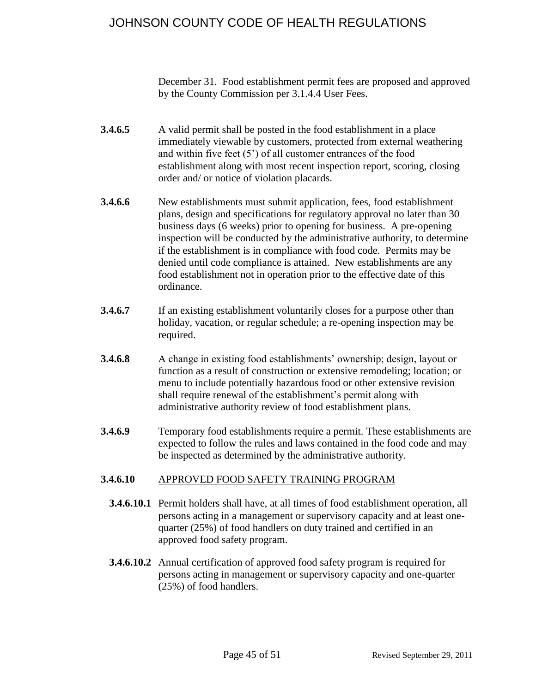December 31. Food establishment permit fees are proposed and approved by the County Commission per 3.1.4.4 User Fees.

- **3.4.6.5** A valid permit shall be posted in the food establishment in a place immediately viewable by customers, protected from external weathering and within five feet (5') of all customer entrances of the food establishment along with most recent inspection report, scoring, closing order and/ or notice of violation placards.
- **3.4.6.6** New establishments must submit application, fees, food establishment plans, design and specifications for regulatory approval no later than 30 business days (6 weeks) prior to opening for business. A pre-opening inspection will be conducted by the administrative authority, to determine if the establishment is in compliance with food code. Permits may be denied until code compliance is attained. New establishments are any food establishment not in operation prior to the effective date of this ordinance.
- **3.4.6.7** If an existing establishment voluntarily closes for a purpose other than holiday, vacation, or regular schedule; a re-opening inspection may be required.
- **3.4.6.8** A change in existing food establishments' ownership; design, layout or function as a result of construction or extensive remodeling; location; or menu to include potentially hazardous food or other extensive revision shall require renewal of the establishment's permit along with administrative authority review of food establishment plans.
- **3.4.6.9** Temporary food establishments require a permit. These establishments are expected to follow the rules and laws contained in the food code and may be inspected as determined by the administrative authority.

## <span id="page-44-0"></span>**3.4.6.10** APPROVED FOOD SAFETY TRAINING PROGRAM

- **3.4.6.10.1** Permit holders shall have, at all times of food establishment operation, all persons acting in a management or supervisory capacity and at least onequarter (25%) of food handlers on duty trained and certified in an approved food safety program.
- **3.4.6.10.2** Annual certification of approved food safety program is required for persons acting in management or supervisory capacity and one-quarter (25%) of food handlers.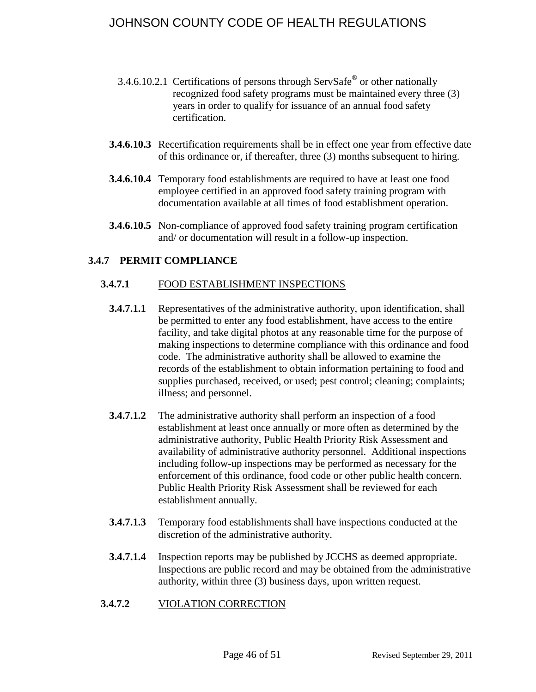- 3.4.6.10.2.1 Certifications of persons through ServSafe<sup>®</sup> or other nationally recognized food safety programs must be maintained every three (3) years in order to qualify for issuance of an annual food safety certification.
- **3.4.6.10.3** Recertification requirements shall be in effect one year from effective date of this ordinance or, if thereafter, three (3) months subsequent to hiring.
- **3.4.6.10.4** Temporary food establishments are required to have at least one food employee certified in an approved food safety training program with documentation available at all times of food establishment operation.
- **3.4.6.10.5** Non-compliance of approved food safety training program certification and/ or documentation will result in a follow-up inspection.

## <span id="page-45-1"></span><span id="page-45-0"></span>**3.4.7 PERMIT COMPLIANCE**

#### **3.4.7.1** FOOD ESTABLISHMENT INSPECTIONS

- **3.4.7.1.1** Representatives of the administrative authority, upon identification, shall be permitted to enter any food establishment, have access to the entire facility, and take digital photos at any reasonable time for the purpose of making inspections to determine compliance with this ordinance and food code. The administrative authority shall be allowed to examine the records of the establishment to obtain information pertaining to food and supplies purchased, received, or used; pest control; cleaning; complaints; illness; and personnel.
- **3.4.7.1.2** The administrative authority shall perform an inspection of a food establishment at least once annually or more often as determined by the administrative authority, Public Health Priority Risk Assessment and availability of administrative authority personnel. Additional inspections including follow-up inspections may be performed as necessary for the enforcement of this ordinance, food code or other public health concern. Public Health Priority Risk Assessment shall be reviewed for each establishment annually.
- **3.4.7.1.3** Temporary food establishments shall have inspections conducted at the discretion of the administrative authority.
- **3.4.7.1.4** Inspection reports may be published by JCCHS as deemed appropriate. Inspections are public record and may be obtained from the administrative authority, within three (3) business days, upon written request.
- <span id="page-45-2"></span>**3.4.7.2** VIOLATION CORRECTION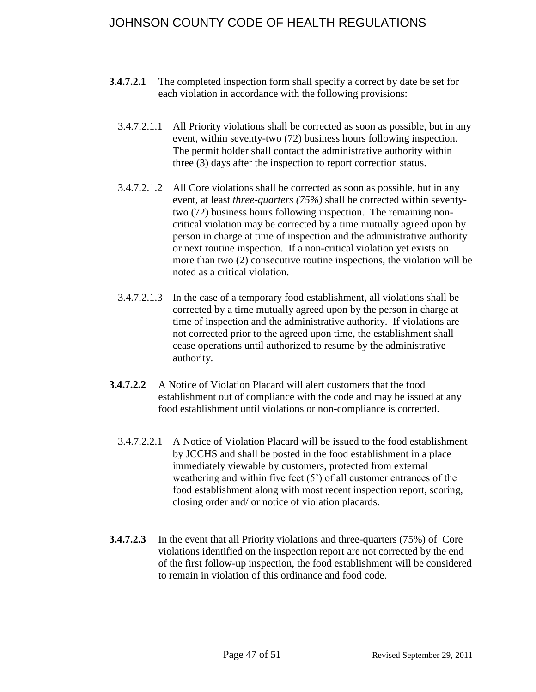- **3.4.7.2.1** The completed inspection form shall specify a correct by date be set for each violation in accordance with the following provisions:
	- 3.4.7.2.1.1 All Priority violations shall be corrected as soon as possible, but in any event, within seventy-two (72) business hours following inspection. The permit holder shall contact the administrative authority within three (3) days after the inspection to report correction status.
	- 3.4.7.2.1.2 All Core violations shall be corrected as soon as possible, but in any event, at least *three-quarters (75%)* shall be corrected within seventytwo (72) business hours following inspection. The remaining noncritical violation may be corrected by a time mutually agreed upon by person in charge at time of inspection and the administrative authority or next routine inspection. If a non-critical violation yet exists on more than two (2) consecutive routine inspections, the violation will be noted as a critical violation.
	- 3.4.7.2.1.3 In the case of a temporary food establishment, all violations shall be corrected by a time mutually agreed upon by the person in charge at time of inspection and the administrative authority. If violations are not corrected prior to the agreed upon time, the establishment shall cease operations until authorized to resume by the administrative authority.
- **3.4.7.2.2** A Notice of Violation Placard will alert customers that the food establishment out of compliance with the code and may be issued at any food establishment until violations or non-compliance is corrected.
	- 3.4.7.2.2.1 A Notice of Violation Placard will be issued to the food establishment by JCCHS and shall be posted in the food establishment in a place immediately viewable by customers, protected from external weathering and within five feet  $(5')$  of all customer entrances of the food establishment along with most recent inspection report, scoring, closing order and/ or notice of violation placards.
- **3.4.7.2.3** In the event that all Priority violations and three-quarters (75%) of Core violations identified on the inspection report are not corrected by the end of the first follow-up inspection, the food establishment will be considered to remain in violation of this ordinance and food code.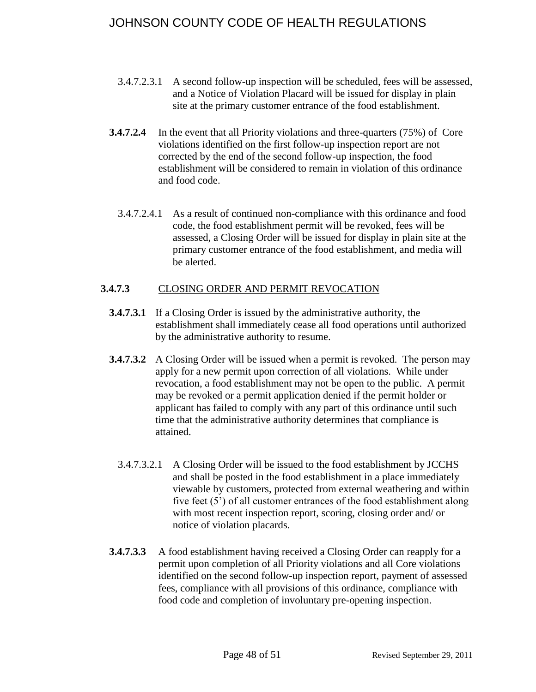- 3.4.7.2.3.1 A second follow-up inspection will be scheduled, fees will be assessed, and a Notice of Violation Placard will be issued for display in plain site at the primary customer entrance of the food establishment.
- **3.4.7.2.4** In the event that all Priority violations and three-quarters (75%) of Core violations identified on the first follow-up inspection report are not corrected by the end of the second follow-up inspection, the food establishment will be considered to remain in violation of this ordinance and food code.
	- 3.4.7.2.4.1 As a result of continued non-compliance with this ordinance and food code, the food establishment permit will be revoked, fees will be assessed, a Closing Order will be issued for display in plain site at the primary customer entrance of the food establishment, and media will be alerted.

## <span id="page-47-0"></span>**3.4.7.3** CLOSING ORDER AND PERMIT REVOCATION

- **3.4.7.3.1** If a Closing Order is issued by the administrative authority, the establishment shall immediately cease all food operations until authorized by the administrative authority to resume.
- **3.4.7.3.2** A Closing Order will be issued when a permit is revoked. The person may apply for a new permit upon correction of all violations. While under revocation, a food establishment may not be open to the public. A permit may be revoked or a permit application denied if the permit holder or applicant has failed to comply with any part of this ordinance until such time that the administrative authority determines that compliance is attained.
	- 3.4.7.3.2.1 A Closing Order will be issued to the food establishment by JCCHS and shall be posted in the food establishment in a place immediately viewable by customers, protected from external weathering and within five feet (5') of all customer entrances of the food establishment along with most recent inspection report, scoring, closing order and/ or notice of violation placards.
- **3.4.7.3.3** A food establishment having received a Closing Order can reapply for a permit upon completion of all Priority violations and all Core violations identified on the second follow-up inspection report, payment of assessed fees, compliance with all provisions of this ordinance, compliance with food code and completion of involuntary pre-opening inspection.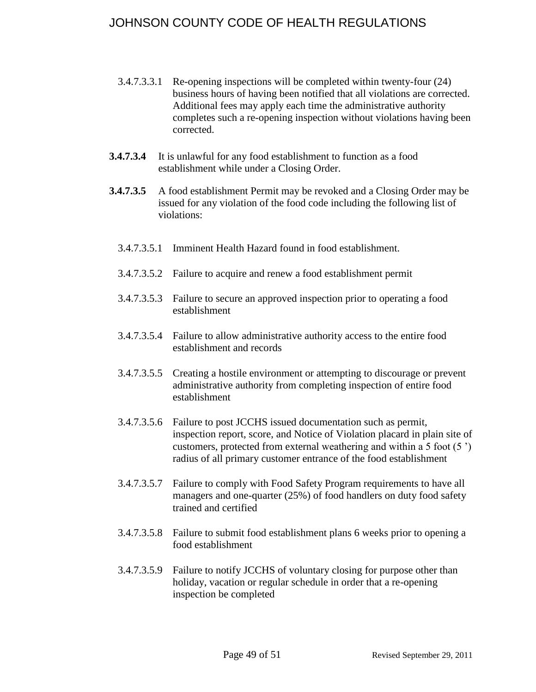- 3.4.7.3.3.1 Re-opening inspections will be completed within twenty-four (24) business hours of having been notified that all violations are corrected. Additional fees may apply each time the administrative authority completes such a re-opening inspection without violations having been corrected.
- **3.4.7.3.4** It is unlawful for any food establishment to function as a food establishment while under a Closing Order.
- **3.4.7.3.5** A food establishment Permit may be revoked and a Closing Order may be issued for any violation of the food code including the following list of violations:
	- 3.4.7.3.5.1 Imminent Health Hazard found in food establishment.
	- 3.4.7.3.5.2 Failure to acquire and renew a food establishment permit
	- 3.4.7.3.5.3 Failure to secure an approved inspection prior to operating a food establishment
	- 3.4.7.3.5.4 Failure to allow administrative authority access to the entire food establishment and records
	- 3.4.7.3.5.5 Creating a hostile environment or attempting to discourage or prevent administrative authority from completing inspection of entire food establishment
	- 3.4.7.3.5.6 Failure to post JCCHS issued documentation such as permit, inspection report, score, and Notice of Violation placard in plain site of customers, protected from external weathering and within a 5 foot (5 ') radius of all primary customer entrance of the food establishment
	- 3.4.7.3.5.7 Failure to comply with Food Safety Program requirements to have all managers and one-quarter (25%) of food handlers on duty food safety trained and certified
	- 3.4.7.3.5.8 Failure to submit food establishment plans 6 weeks prior to opening a food establishment
	- 3.4.7.3.5.9 Failure to notify JCCHS of voluntary closing for purpose other than holiday, vacation or regular schedule in order that a re-opening inspection be completed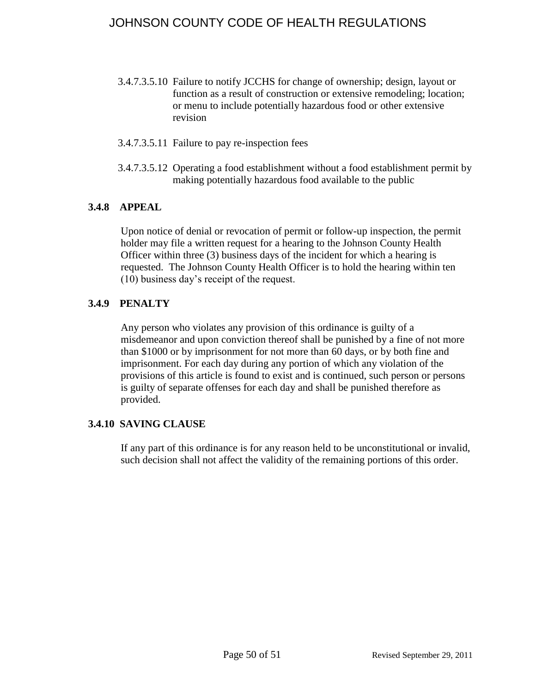- 3.4.7.3.5.10 Failure to notify JCCHS for change of ownership; design, layout or function as a result of construction or extensive remodeling; location; or menu to include potentially hazardous food or other extensive revision
- 3.4.7.3.5.11 Failure to pay re-inspection fees
- 3.4.7.3.5.12 Operating a food establishment without a food establishment permit by making potentially hazardous food available to the public

### <span id="page-49-0"></span>**3.4.8 APPEAL**

Upon notice of denial or revocation of permit or follow-up inspection, the permit holder may file a written request for a hearing to the Johnson County Health Officer within three (3) business days of the incident for which a hearing is requested. The Johnson County Health Officer is to hold the hearing within ten (10) business day's receipt of the request.

### <span id="page-49-1"></span>**3.4.9 PENALTY**

Any person who violates any provision of this ordinance is guilty of a misdemeanor and upon conviction thereof shall be punished by a fine of not more than \$1000 or by imprisonment for not more than 60 days, or by both fine and imprisonment. For each day during any portion of which any violation of the provisions of this article is found to exist and is continued, such person or persons is guilty of separate offenses for each day and shall be punished therefore as provided.

## <span id="page-49-2"></span>**3.4.10 SAVING CLAUSE**

If any part of this ordinance is for any reason held to be unconstitutional or invalid, such decision shall not affect the validity of the remaining portions of this order.